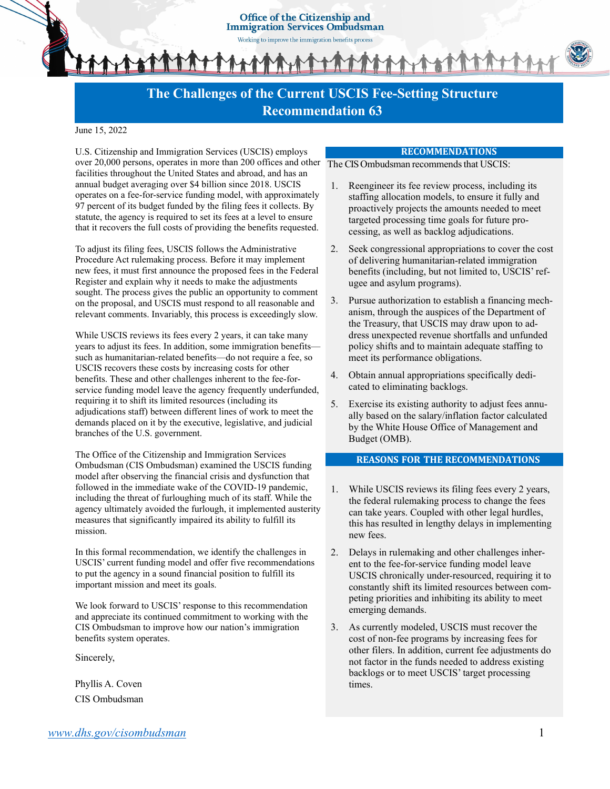Office of the Citizenship and **Immigration Services Ombudsman** 

Working to improve the immigration benefits process

# **The Challenges of the Current USCIS Fee-Setting Structure Recommendation 63**

#### June 15, 2022

U.S. Citizenship and Immigration Services (USCIS) employs over 20,000 persons, operates in more than 200 offices and other The CIS Ombudsman recommends that USCIS: facilities throughout the United States and abroad, and has an annual budget averaging over \$4 billion since 2018. USCIS operates on a fee-for-service funding model, with approximately 97 percent of its budget funded by the filing fees it collects. By statute, the agency is required to set its fees at a level to ensure that it recovers the full costs of providing the benefits requested.

To adjust its filing fees, USCIS follows the Administrative Procedure Act rulemaking process. Before it may implement new fees, it must first announce the proposed fees in the Federal Register and explain why it needs to make the adjustments sought. The process gives the public an opportunity to comment on the proposal, and USCIS must respond to all reasonable and relevant comments. Invariably, this process is exceedingly slow.

While USCIS reviews its fees every 2 years, it can take many years to adjust its fees. In addition, some immigration benefits such as humanitarian-related benefits—do not require a fee, so USCIS recovers these costs by increasing costs for other benefits. These and other challenges inherent to the fee-forservice funding model leave the agency frequently underfunded, requiring it to shift its limited resources (including its adjudications staff) between different lines of work to meet the demands placed on it by the executive, legislative, and judicial branches of the U.S. government.

The Office of the Citizenship and Immigration Services Ombudsman (CIS Ombudsman) examined the USCIS funding model after observing the financial crisis and dysfunction that followed in the immediate wake of the COVID-19 pandemic, including the threat of furloughing much of its staff. While the agency ultimately avoided the furlough, it implemented austerity measures that significantly impaired its ability to fulfill its mission.

In this formal recommendation, we identify the challenges in USCIS' current funding model and offer five recommendations to put the agency in a sound financial position to fulfill its important mission and meet its goals.

We look forward to USCIS' response to this recommendation and appreciate its continued commitment to working with the CIS Ombudsman to improve how our nation's immigration benefits system operates.

Sincerely,

Phyllis A. Coven CIS Ombudsman

#### **RECOMMENDATIONS**

- 1. Reengineer its fee review process, including its staffing allocation models, to ensure it fully and proactively projects the amounts needed to meet targeted processing time goals for future processing, as well as backlog adjudications.
- 2. Seek congressional appropriations to cover the cost of delivering humanitarian-related immigration benefits (including, but not limited to, USCIS' refugee and asylum programs).
- 3. Pursue authorization to establish a financing mechanism, through the auspices of the Department of the Treasury, that USCIS may draw upon to address unexpected revenue shortfalls and unfunded policy shifts and to maintain adequate staffing to meet its performance obligations.
- 4. Obtain annual appropriations specifically dedicated to eliminating backlogs.
- 5. Exercise its existing authority to adjust fees annually based on the salary/inflation factor calculated by the White House Office of Management and Budget (OMB).

#### **REASONS FOR THE RECOMMENDATIONS**

- 1. While USCIS reviews its filing fees every 2 years, the federal rulemaking process to change the fees can take years. Coupled with other legal hurdles, this has resulted in lengthy delays in implementing new fees.
- 2. Delays in rulemaking and other challenges inherent to the fee-for-service funding model leave USCIS chronically under-resourced, requiring it to constantly shift its limited resources between competing priorities and inhibiting its ability to meet emerging demands.
- 3. As currently modeled, USCIS must recover the cost of non-fee programs by increasing fees for other filers. In addition, current fee adjustments do not factor in the funds needed to address existing backlogs or to meet USCIS' target processing times.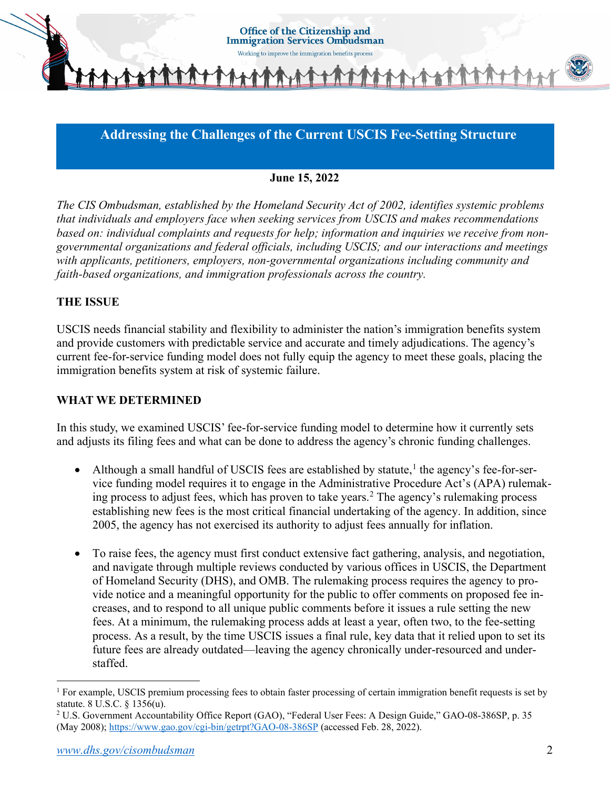

# **Addressing the Challenges of the Current USCIS Fee-Setting Structure**

### **June 15, 2022**

*The CIS Ombudsman, established by the Homeland Security Act of 2002, identifies systemic problems that individuals and employers face when seeking services from USCIS and makes recommendations based on: individual complaints and requests for help; information and inquiries we receive from nongovernmental organizations and federal officials, including USCIS; and our interactions and meetings with applicants, petitioners, employers, non-governmental organizations including community and faith-based organizations, and immigration professionals across the country.*

### **THE ISSUE**

USCIS needs financial stability and flexibility to administer the nation's immigration benefits system and provide customers with predictable service and accurate and timely adjudications. The agency's current fee-for-service funding model does not fully equip the agency to meet these goals, placing the immigration benefits system at risk of systemic failure.

### **WHAT WE DETERMINED**

In this study, we examined USCIS' fee-for-service funding model to determine how it currently sets and adjusts its filing fees and what can be done to address the agency's chronic funding challenges.

- Although a small handful of USCIS fees are established by statute,<sup>[1](#page-1-0)</sup> the agency's fee-for-service funding model requires it to engage in the Administrative Procedure Act's (APA) rulemak-ing process to adjust fees, which has proven to take years.<sup>[2](#page-1-1)</sup> The agency's rulemaking process establishing new fees is the most critical financial undertaking of the agency. In addition, since 2005, the agency has not exercised its authority to adjust fees annually for inflation.
- To raise fees, the agency must first conduct extensive fact gathering, analysis, and negotiation, and navigate through multiple reviews conducted by various offices in USCIS, the Department of Homeland Security (DHS), and OMB. The rulemaking process requires the agency to provide notice and a meaningful opportunity for the public to offer comments on proposed fee increases, and to respond to all unique public comments before it issues a rule setting the new fees. At a minimum, the rulemaking process adds at least a year, often two, to the fee-setting process. As a result, by the time USCIS issues a final rule, key data that it relied upon to set its future fees are already outdated—leaving the agency chronically under-resourced and understaffed.

<span id="page-1-0"></span> $<sup>1</sup>$  For example, USCIS premium processing fees to obtain faster processing of certain immigration benefit requests is set by</sup> statute. 8 U.S.C. § 1356(u).

<span id="page-1-1"></span><sup>2</sup> U.S. Government Accountability Office Report (GAO), "Federal User Fees: A Design Guide," GAO-08-386SP, p. 35 (May 2008)[; https://www.gao.gov/cgi-bin/getrpt?GAO-08-386SP](https://www.gao.gov/cgi-bin/getrpt?GAO-08-386SP) (accessed Feb. 28, 2022).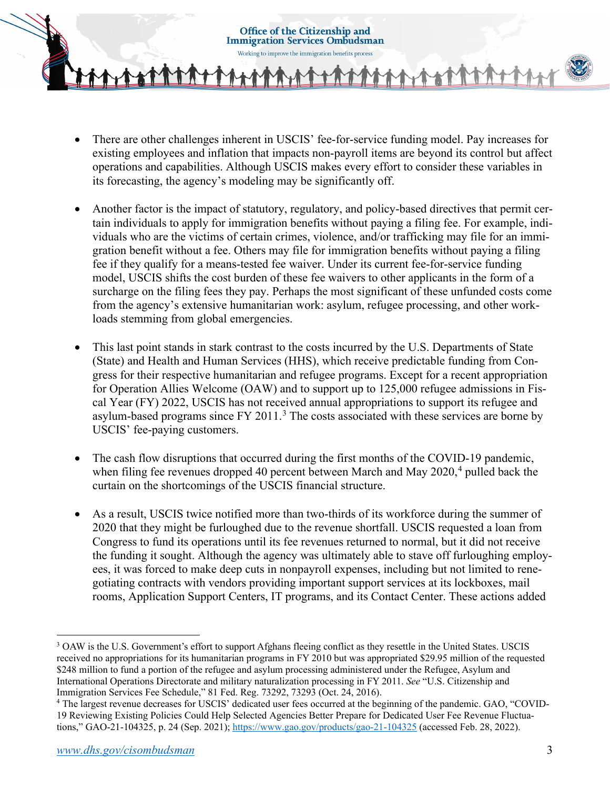**Office of the Citizenship and Immigration Services Ombudsman** 



- There are other challenges inherent in USCIS' fee-for-service funding model. Pay increases for existing employees and inflation that impacts non-payroll items are beyond its control but affect operations and capabilities. Although USCIS makes every effort to consider these variables in its forecasting, the agency's modeling may be significantly off.
- Another factor is the impact of statutory, regulatory, and policy-based directives that permit certain individuals to apply for immigration benefits without paying a filing fee. For example, individuals who are the victims of certain crimes, violence, and/or trafficking may file for an immigration benefit without a fee. Others may file for immigration benefits without paying a filing fee if they qualify for a means-tested fee waiver. Under its current fee-for-service funding model, USCIS shifts the cost burden of these fee waivers to other applicants in the form of a surcharge on the filing fees they pay. Perhaps the most significant of these unfunded costs come from the agency's extensive humanitarian work: asylum, refugee processing, and other workloads stemming from global emergencies.
- This last point stands in stark contrast to the costs incurred by the U.S. Departments of State (State) and Health and Human Services (HHS), which receive predictable funding from Congress for their respective humanitarian and refugee programs. Except for a recent appropriation for Operation Allies Welcome (OAW) and to support up to 125,000 refugee admissions in Fiscal Year (FY) 2022, USCIS has not received annual appropriations to support its refugee and asylum-based programs since  $FY$  2011.<sup>[3](#page-2-0)</sup> The costs associated with these services are borne by USCIS' fee-paying customers.
- The cash flow disruptions that occurred during the first months of the COVID-19 pandemic, when filing fee revenues dropped [4](#page-2-1)0 percent between March and May 2020,<sup>4</sup> pulled back the curtain on the shortcomings of the USCIS financial structure.
- As a result, USCIS twice notified more than two-thirds of its workforce during the summer of 2020 that they might be furloughed due to the revenue shortfall. USCIS requested a loan from Congress to fund its operations until its fee revenues returned to normal, but it did not receive the funding it sought. Although the agency was ultimately able to stave off furloughing employees, it was forced to make deep cuts in nonpayroll expenses, including but not limited to renegotiating contracts with vendors providing important support services at its lockboxes, mail rooms, Application Support Centers, IT programs, and its Contact Center. These actions added

<span id="page-2-0"></span><sup>&</sup>lt;sup>3</sup> OAW is the U.S. Government's effort to support Afghans fleeing conflict as they resettle in the United States. USCIS received no appropriations for its humanitarian programs in FY 2010 but was appropriated \$29.95 million of the requested \$248 million to fund a portion of the refugee and asylum processing administered under the Refugee, Asylum and International Operations Directorate and military naturalization processing in FY 2011. *See* "U.S. Citizenship and Immigration Services Fee Schedule," 81 Fed. Reg. 73292, 73293 (Oct. 24, 2016).

<span id="page-2-1"></span><sup>4</sup> The largest revenue decreases for USCIS' dedicated user fees occurred at the beginning of the pandemic. GAO, "COVID-19 Reviewing Existing Policies Could Help Selected Agencies Better Prepare for Dedicated User Fee Revenue Fluctua-tions," GAO-21-104325, p. 24 (Sep. 2021)[; https://www.gao.gov/products/gao-21-104325](https://www.gao.gov/products/gao-21-104325) (accessed Feb. 28, 2022).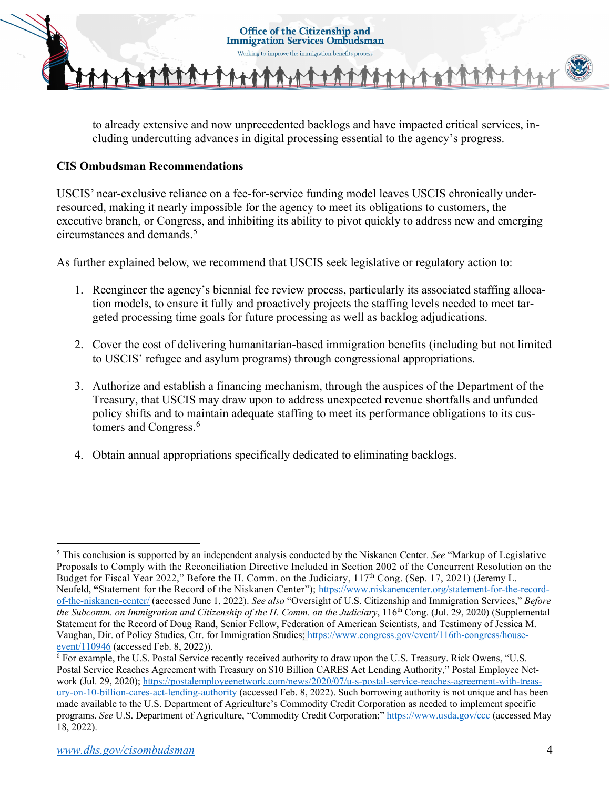

to already extensive and now unprecedented backlogs and have impacted critical services, including undercutting advances in digital processing essential to the agency's progress.

## **CIS Ombudsman Recommendations**

USCIS' near-exclusive reliance on a fee-for-service funding model leaves USCIS chronically underresourced, making it nearly impossible for the agency to meet its obligations to customers, the executive branch, or Congress, and inhibiting its ability to pivot quickly to address new and emerging circumstances and demands.<sup>[5](#page-3-0)</sup>

As further explained below, we recommend that USCIS seek legislative or regulatory action to:

- 1. Reengineer the agency's biennial fee review process, particularly its associated staffing allocation models, to ensure it fully and proactively projects the staffing levels needed to meet targeted processing time goals for future processing as well as backlog adjudications.
- 2. Cover the cost of delivering humanitarian-based immigration benefits (including but not limited to USCIS' refugee and asylum programs) through congressional appropriations.
- 3. Authorize and establish a financing mechanism, through the auspices of the Department of the Treasury, that USCIS may draw upon to address unexpected revenue shortfalls and unfunded policy shifts and to maintain adequate staffing to meet its performance obligations to its cus-tomers and Congress.<sup>[6](#page-3-1)</sup>
- 4. Obtain annual appropriations specifically dedicated to eliminating backlogs.

<span id="page-3-0"></span><sup>5</sup> This conclusion is supported by an independent analysis conducted by the Niskanen Center. *See* "Markup of Legislative Proposals to Comply with the Reconciliation Directive Included in Section 2002 of the Concurrent Resolution on the Budget for Fiscal Year 2022," Before the H. Comm. on the Judiciary, 117<sup>th</sup> Cong. (Sep. 17, 2021) (Jeremy L. Neufeld, **"**Statement for the Record of the Niskanen Center"); [https://www.niskanencenter.org/statement-for-the-record](https://www.niskanencenter.org/statement-for-the-record-of-the-niskanen-center/)[of-the-niskanen-center/](https://www.niskanencenter.org/statement-for-the-record-of-the-niskanen-center/) (accessed June 1, 2022). *See also* "Oversight of U.S. Citizenship and Immigration Services," *Before the Subcomm. on Immigration and Citizenship of the H. Comm. on the Judiciary*, 116th Cong. (Jul. 29, 2020) (Supplemental Statement for the Record of Doug Rand, Senior Fellow, Federation of American Scientists*,* and Testimony of Jessica M. Vaughan, Dir. of Policy Studies, Ctr. for Immigration Studies; [https://www.congress.gov/event/116th-congress/house-](https://www.congress.gov/event/116th-congress/house-event/110946)event/110946 [\(](https://www.congress.gov/event/116th-congress/house-event/110946)accessed Feb. 8, 2022)).<br><sup>6</sup> For example, the U.S. Postal Service recently received authority to draw upon the U.S. Treasury. Rick Owens, "U.S.

<span id="page-3-1"></span>Postal Service Reaches Agreement with Treasury on \$10 Billion CARES Act Lending Authority," Postal Employee Net-work (Jul. 29, 2020)[; https://postalemployeenetwork.com/news/2020/07/u-s-postal-service-reaches-agreement-with-treas](https://postalemployeenetwork.com/news/2020/07/u-s-postal-service-reaches-agreement-with-treasury-on-10-billion-cares-act-lending-authority/)[ury-on-10-billion-cares-act-lending-authority](https://postalemployeenetwork.com/news/2020/07/u-s-postal-service-reaches-agreement-with-treasury-on-10-billion-cares-act-lending-authority/) (accessed Feb. 8, 2022). Such borrowing authority is not unique and has been made available to the U.S. Department of Agriculture's Commodity Credit Corporation as needed to implement specific programs. *See* U.S. Department of Agriculture, "Commodity Credit Corporation;"<https://www.usda.gov/ccc> (accessed May 18, 2022).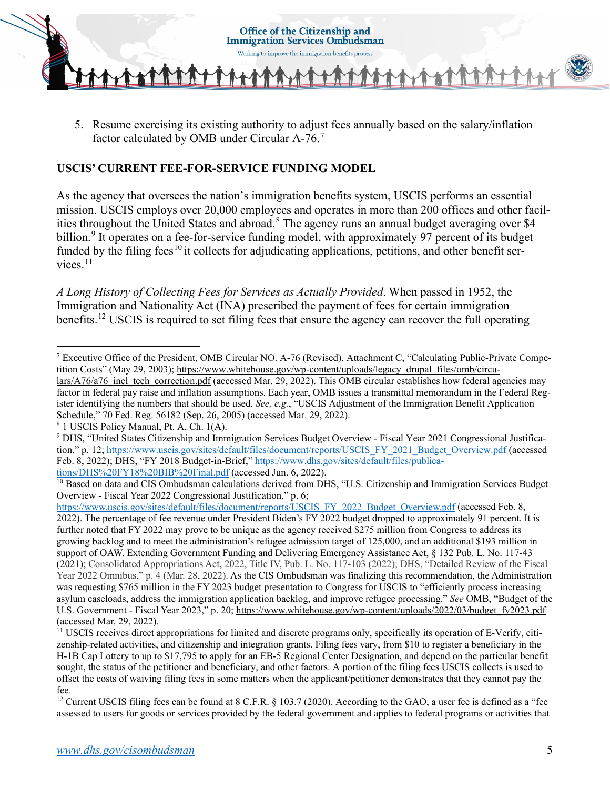

5. Resume exercising its existing authority to adjust fees annually based on the salary/inflation factor calculated by OMB under Circular A-76.[7](#page-4-0)

## **USCIS' CURRENT FEE-FOR-SERVICE FUNDING MODEL**

As the agency that oversees the nation's immigration benefits system, USCIS performs an essential mission. USCIS employs over 20,000 employees and operates in more than 200 offices and other facil-ities throughout the United States and abroad.<sup>[8](#page-4-1)</sup> The agency runs an annual budget averaging over \$4 billion.<sup>[9](#page-4-2)</sup> It operates on a fee-for-service funding model, with approximately 97 percent of its budget funded by the filing fees<sup>[10](#page-4-3)</sup> it collects for adjudicating applications, petitions, and other benefit ser-vices.<sup>[11](#page-4-4)</sup>

*A Long History of Collecting Fees for Services as Actually Provided*. When passed in 1952, the Immigration and Nationality Act (INA) prescribed the payment of fees for certain immigration benefits.<sup>[12](#page-4-5)</sup> USCIS is required to set filing fees that ensure the agency can recover the full operating

<span id="page-4-1"></span><sup>8</sup> 1 USCIS Policy Manual, Pt. A, Ch. 1(A).

<span id="page-4-0"></span><sup>7</sup> Executive Office of the President, OMB Circular NO. A-76 (Revised), Attachment C, "Calculating Public-Private Competition Costs" (May 29, 2003); [https://www.whitehouse.gov/wp-content/uploads/legacy\\_drupal\\_files/omb/circu](https://www.whitehouse.gov/wp-content/uploads/legacy_drupal_files/omb/circulars/A76/a76_incl_tech_correction.pdf) $lars/A76/a76$  incl\_tech\_correction.pdf (accessed Mar. 29, 2022). This OMB circular establishes how federal agencies may factor in federal pay raise and inflation assumptions. Each year, OMB issues a transmittal memorandum in the Federal Register identifying the numbers that should be used. *See, e.g.*, "USCIS Adjustment of the Immigration Benefit Application Schedule," 70 Fed. Reg. 56182 (Sep. 26, 2005) (accessed Mar. 29, 2022).

<span id="page-4-2"></span><sup>9</sup> DHS, "United States Citizenship and Immigration Services Budget Overview - Fiscal Year 2021 Congressional Justification," p. 12; [https://www.uscis.gov/sites/default/files/document/reports/USCIS\\_FY\\_2021\\_Budget\\_Overview.pdf \(](https://www.uscis.gov/sites/default/files/document/reports/USCIS_FY_2021_Budget_Overview.pdf)accessed Feb. 8, 2022); DHS, "FY 2018 Budget-in-Brief," [https://www.dhs.gov/sites/default/files/publica](https://www.dhs.gov/sites/default/files/publications/DHS%20FY18%20BIB%20Final.pdf)[tions/DHS%20FY18%20BIB%20Final.pdf](https://www.dhs.gov/sites/default/files/publications/DHS%20FY18%20BIB%20Final.pdf) (accessed Jun. 6, 2022).

<span id="page-4-3"></span><sup>&</sup>lt;sup>10</sup> Based on data and CIS Ombudsman calculations derived from DHS, "U.S. Citizenship and Immigration Services Budget Overview - Fiscal Year 2022 Congressional Justification," p. 6;

[https://www.uscis.gov/sites/default/files/document/reports/USCIS\\_FY\\_2022\\_Budget\\_Overview.pdf](https://www.uscis.gov/sites/default/files/document/reports/USCIS_FY_2022_Budget_Overview.pdf) (accessed Feb. 8, 2022). The percentage of fee revenue under President Biden's FY 2022 budget dropped to approximately 91 percent. It is further noted that FY 2022 may prove to be unique as the agency received \$275 million from Congress to address its growing backlog and to meet the administration's refugee admission target of 125,000, and an additional \$193 million in support of OAW. Extending Government Funding and Delivering Emergency Assistance Act, § 132 Pub. L. No. 117-43 (2021); Consolidated Appropriations Act, 2022, Title IV, Pub. L. No. 117-103 (2022); DHS, "Detailed Review of the Fiscal Year 2022 Omnibus," p. 4 (Mar. 28, 2022). As the CIS Ombudsman was finalizing this recommendation, the Administration was requesting \$765 million in the FY 2023 budget presentation to Congress for USCIS to "efficiently process increasing asylum caseloads, address the immigration application backlog, and improve refugee processing." *See* OMB, "Budget of the U.S. Government - Fiscal Year 2023," p. 20; [https://www.whitehouse.gov/wp-content/uploads/2022/03/budget\\_fy2023.pdf](https://www.whitehouse.gov/wp-content/uploads/2022/03/budget_fy2023.pdf) (accessed Mar. 29, 2022).

<span id="page-4-4"></span><sup>11</sup> USCIS receives direct appropriations for limited and discrete programs only, specifically its operation of E-Verify, citizenship-related activities, and citizenship and integration grants. Filing fees vary, from \$10 to register a beneficiary in the H-1B Cap Lottery to up to \$17,795 to apply for an EB-5 Regional Center Designation, and depend on the particular benefit sought, the status of the petitioner and beneficiary, and other factors. A portion of the filing fees USCIS collects is used to offset the costs of waiving filing fees in some matters when the applicant/petitioner demonstrates that they cannot pay the fee.

<span id="page-4-5"></span><sup>&</sup>lt;sup>12</sup> Current USCIS filing fees can be found at 8 C.F.R. § 103.7 (2020). According to the GAO, a user fee is defined as a "fee assessed to users for goods or services provided by the federal government and applies to federal programs or activities that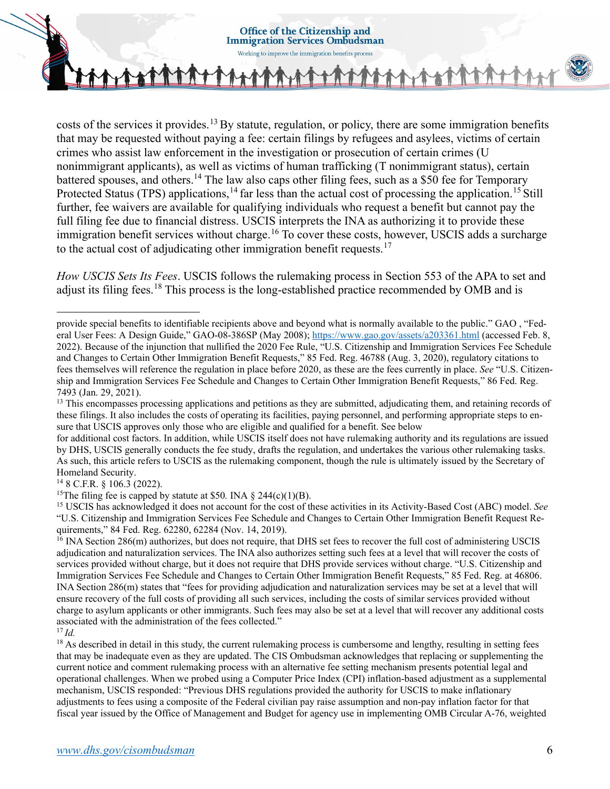

costs of the services it provides.<sup>[13](#page-5-0)</sup> By statute, regulation, or policy, there are some immigration benefits that may be requested without paying a fee: certain filings by refugees and asylees, victims of certain crimes who assist law enforcement in the investigation or prosecution of certain crimes (U nonimmigrant applicants), as well as victims of human trafficking (T nonimmigrant status), certain battered spouses, and others.<sup>14</sup> The law also caps other filing fees, such as a \$50 fee for Temporary Protected Status (TPS) applications,  $^{14}$  $^{14}$  $^{14}$  far less than the actual cost of processing the application.<sup>[15](#page-5-2)</sup> Still further, fee waivers are available for qualifying individuals who request a benefit but cannot pay the full filing fee due to financial distress. USCIS interprets the INA as authorizing it to provide these immigration benefit services without charge.<sup>[16](#page-5-3)</sup> To cover these costs, however, USCIS adds a surcharge to the actual cost of adjudicating other immigration benefit requests.<sup>[17](#page-5-4)</sup>

*How USCIS Sets Its Fees*. USCIS follows the rulemaking process in Section 553 of the APA to set and adjust its filing fees.[18](#page-5-5) This process is the long-established practice recommended by OMB and is

for additional cost factors. In addition, while USCIS itself does not have rulemaking authority and its regulations are issued by DHS, USCIS generally conducts the fee study, drafts the regulation, and undertakes the various other rulemaking tasks. As such, this article refers to USCIS as the rulemaking component, though the rule is ultimately issued by the Secretary of Homeland Security.

<span id="page-5-1"></span><sup>14</sup> 8 C.F.R. § 106.3 (2022).

<span id="page-5-2"></span><sup>15</sup>The filing fee is capped by statute at \$50. INA § 244(c)(1)(B).<br><sup>15</sup> USCIS has acknowledged it does not account for the cost of these activities in its Activity-Based Cost (ABC) model. *See* "U.S. Citizenship and Immigration Services Fee Schedule and Changes to Certain Other Immigration Benefit Request Requirements," 84 Fed. Reg. 62280, 62284 (Nov. 14, 2019).

<span id="page-5-3"></span> $16$  INA Section 286(m) authorizes, but does not require, that DHS set fees to recover the full cost of administering USCIS adjudication and naturalization services. The INA also authorizes setting such fees at a level that will recover the costs of services provided without charge, but it does not require that DHS provide services without charge. "U.S. Citizenship and Immigration Services Fee Schedule and Changes to Certain Other Immigration Benefit Requests," 85 Fed. Reg. at 46806. INA Section 286(m) states that "fees for providing adjudication and naturalization services may be set at a level that will ensure recovery of the full costs of providing all such services, including the costs of similar services provided without charge to asylum applicants or other immigrants. Such fees may also be set at a level that will recover any additional costs associated with the administration of the fees collected."<br> $\frac{17}{1}$ Id.

<span id="page-5-5"></span><sup>18</sup> As described in detail in this study, the current rulemaking process is cumbersome and lengthy, resulting in setting fees that may be inadequate even as they are updated. The CIS Ombudsman acknowledges that replacing or supplementing the current notice and comment rulemaking process with an alternative fee setting mechanism presents potential legal and operational challenges. When we probed using a Computer Price Index (CPI) inflation-based adjustment as a supplemental mechanism, USCIS responded: "Previous DHS regulations provided the authority for USCIS to make inflationary adjustments to fees using a composite of the Federal civilian pay raise assumption and non-pay inflation factor for that fiscal year issued by the Office of Management and Budget for agency use in implementing OMB Circular A-76, weighted

provide special benefits to identifiable recipients above and beyond what is normally available to the public." GAO , "Federal User Fees: A Design Guide," GAO-08-386SP (May 2008)[; https://www.gao.gov/assets/a203361.html](https://www.gao.gov/assets/a203361.html) (accessed Feb. 8, 2022). Because of the injunction that nullified the 2020 Fee Rule, "U.S. Citizenship and Immigration Services Fee Schedule and Changes to Certain Other Immigration Benefit Requests," 85 Fed. Reg. 46788 (Aug. 3, 2020), regulatory citations to fees themselves will reference the regulation in place before 2020, as these are the fees currently in place. *See* "U.S. Citizenship and Immigration Services Fee Schedule and Changes to Certain Other Immigration Benefit Requests," 86 Fed. Reg. 7493 (Jan. 29, 2021).

<span id="page-5-0"></span> $13$  This encompasses processing applications and petitions as they are submitted, adjudicating them, and retaining records of these filings. It also includes the costs of operating its facilities, paying personnel, and performing appropriate steps to ensure that USCIS approves only those who are eligible and qualified for a benefit. See below

<span id="page-5-4"></span>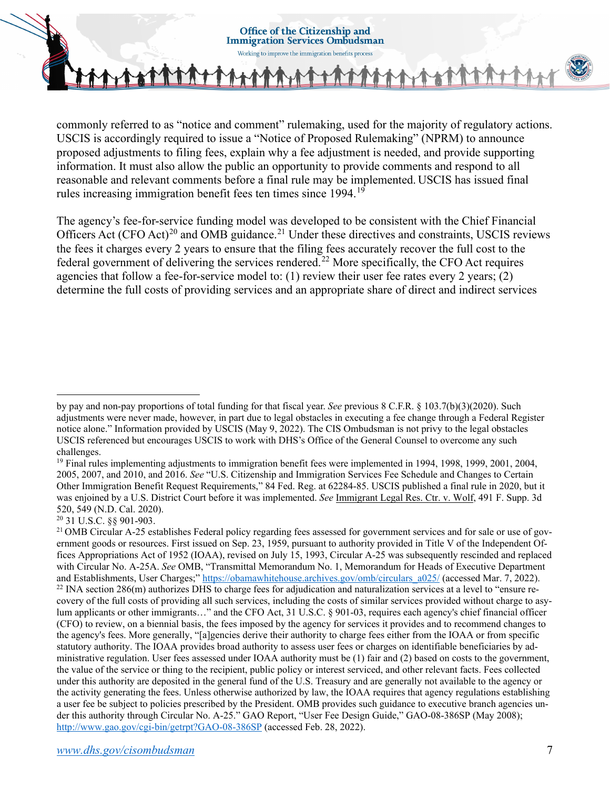

commonly referred to as "notice and comment" rulemaking, used for the majority of regulatory actions. USCIS is accordingly required to issue a "Notice of Proposed Rulemaking" (NPRM) to announce proposed adjustments to filing fees, explain why a fee adjustment is needed, and provide supporting information. It must also allow the public an opportunity to provide comments and respond to all reasonable and relevant comments before a final rule may be implemented. USCIS has issued final rules increasing immigration benefit fees ten times since 1994.[19](#page-6-0)

The agency's fee-for-service funding model was developed to be consistent with the Chief Financial Officers Act (CFO Act)<sup>[20](#page-6-1)</sup> and OMB guidance.<sup>[21](#page-6-2)</sup> Under these directives and constraints, USCIS reviews the fees it charges every 2 years to ensure that the filing fees accurately recover the full cost to the federal government of delivering the services rendered.<sup>[22](#page-6-3)</sup> More specifically, the CFO Act requires agencies that follow a fee-for-service model to: (1) review their user fee rates every 2 years; (2) determine the full costs of providing services and an appropriate share of direct and indirect services

by pay and non-pay proportions of total funding for that fiscal year. *See* previous 8 C.F.R. § 103.7(b)(3)(2020). Such adjustments were never made, however, in part due to legal obstacles in executing a fee change through a Federal Register notice alone." Information provided by USCIS (May 9, 2022). The CIS Ombudsman is not privy to the legal obstacles USCIS referenced but encourages USCIS to work with DHS's Office of the General Counsel to overcome any such challenges.

<span id="page-6-0"></span><sup>&</sup>lt;sup>19</sup> Final rules implementing adjustments to immigration benefit fees were implemented in 1994, 1998, 1999, 2001, 2004, 2005, 2007, and 2010, and 2016. *See* "U.S. Citizenship and Immigration Services Fee Schedule and Changes to Certain Other Immigration Benefit Request Requirements," 84 Fed. Reg. at 62284-85. USCIS published a final rule in 2020, but it was enjoined by a U.S. District Court before it was implemented. *See* [Immigrant Legal Res. Ctr. v. Wolf, 491 F. Supp. 3d](https://casetext.com/case/immigrant-legal-res-ctr-v-wolf)  [520, 549 \(N.D. Cal. 2020\).](https://casetext.com/case/immigrant-legal-res-ctr-v-wolf) 

<span id="page-6-1"></span><sup>20</sup> [31 U.S.C. §§ 901-](https://api.fdsys.gov/link?collection=uscode&title=31&year=mostrecent§ion=901&type=usc&link-type=html)903.

<span id="page-6-3"></span><span id="page-6-2"></span><sup>&</sup>lt;sup>21</sup> OMB Circular A-25 establishes Federal policy regarding fees assessed for government services and for sale or use of government goods or resources. First issued on Sep. 23, 1959, pursuant to authority provided in Title V of the Independent Offices Appropriations Act of 1952 (IOAA), revised on July 15, 1993, Circular A-25 was subsequently rescinded and replaced with Circular No. A-25A. *See* OMB, "Transmittal Memorandum No. 1, Memorandum for Heads of Executive Department and Establishments, User Charges;" https://obamawhitehouse.archives.gov/omb/circulars\_a025/ (accessed Mar. 7, 2022).<br><sup>22</sup> INA section 286(m) authorizes DHS to charge fees for adjudication and naturalization services at a l covery of the full costs of providing all such services, including the costs of similar services provided without charge to asylum applicants or other immigrants…" and the CFO Act, [31 U.S.C. §](https://api.fdsys.gov/link?collection=uscode&title=31&year=mostrecent§ion=901&type=usc&link-type=html) 901-03, requires each agency's chief financial officer (CFO) to review, on a biennial basis, the fees imposed by the agency for services it provides and to recommend changes to the agency's fees. More generally, "[a]gencies derive their authority to charge fees either from the IOAA or from specific statutory authority. The IOAA provides broad authority to assess user fees or charges on identifiable beneficiaries by administrative regulation. User fees assessed under IOAA authority must be (1) fair and (2) based on costs to the government, the value of the service or thing to the recipient, public policy or interest serviced, and other relevant facts. Fees collected under this authority are deposited in the general fund of the U.S. Treasury and are generally not available to the agency or the activity generating the fees. Unless otherwise authorized by law, the IOAA requires that agency regulations establishing a user fee be subject to policies prescribed by the President. OMB provides such guidance to executive branch agencies under this authority through Circular No. A-25." GAO Report, "User Fee Design Guide," GAO-08-386SP (May 2008); <http://www.gao.gov/cgi-bin/getrpt?GAO-08-386SP>(accessed Feb. 28, 2022).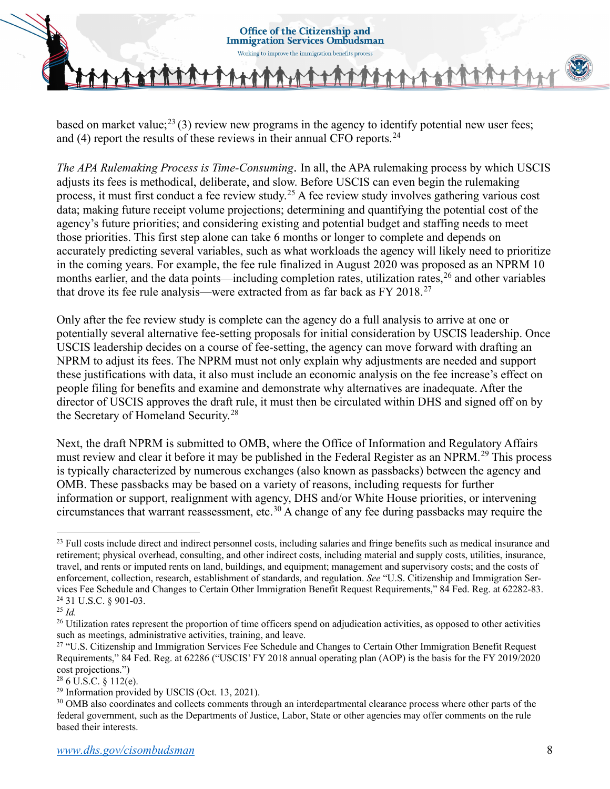based on market value;<sup>[23](#page-7-0)</sup> (3) review new programs in the agency to identify potential new user fees; and  $(4)$  report the results of these reviews in their annual CFO reports.<sup>[24](#page-7-1)</sup>

*The APA Rulemaking Process is Time-Consuming*. In all, the APA rulemaking process by which USCIS adjusts its fees is methodical, deliberate, and slow. Before USCIS can even begin the rulemaking process, it must first conduct a fee review study.[25](#page-7-2) A fee review study involves gathering various cost data; making future receipt volume projections; determining and quantifying the potential cost of the agency's future priorities; and considering existing and potential budget and staffing needs to meet those priorities. This first step alone can take 6 months or longer to complete and depends on accurately predicting several variables, such as what workloads the agency will likely need to prioritize in the coming years. For example, the fee rule finalized in August 2020 was proposed as an NPRM 10 months earlier, and the data points—including completion rates, utilization rates,<sup>[26](#page-7-3)</sup> and other variables that drove its fee rule analysis—were extracted from as far back as FY 2018.<sup>27</sup>

Only after the fee review study is complete can the agency do a full analysis to arrive at one or potentially several alternative fee-setting proposals for initial consideration by USCIS leadership. Once USCIS leadership decides on a course of fee-setting, the agency can move forward with drafting an NPRM to adjust its fees. The NPRM must not only explain why adjustments are needed and support these justifications with data, it also must include an economic analysis on the fee increase's effect on people filing for benefits and examine and demonstrate why alternatives are inadequate. After the director of USCIS approves the draft rule, it must then be circulated within DHS and signed off on by the Secretary of Homeland Security.<sup>28</sup>

Next, the draft NPRM is submitted to OMB, where the Office of Information and Regulatory Affairs must review and clear it before it may be published in the Federal Register as an NPRM.<sup>[29](#page-7-6)</sup> This process is typically characterized by numerous exchanges (also known as passbacks) between the agency and OMB. These passbacks may be based on a variety of reasons, including requests for further information or support, realignment with agency, DHS and/or White House priorities, or intervening circumstances that warrant reassessment, etc.[30](#page-7-7) A change of any fee during passbacks may require the

<span id="page-7-0"></span><sup>&</sup>lt;sup>23</sup> Full costs include direct and indirect personnel costs, including salaries and fringe benefits such as medical insurance and retirement; physical overhead, consulting, and other indirect costs, including material and supply costs, utilities, insurance, travel, and rents or imputed rents on land, buildings, and equipment; management and supervisory costs; and the costs of enforcement, collection, research, establishment of standards, and regulation. *See* "U.S. Citizenship and Immigration Services Fee Schedule and Changes to Certain Other Immigration Benefit Request Requirements," 84 Fed. Reg. at 62282-83. <sup>24</sup> [31 U.S.C. § 901-](https://api.fdsys.gov/link?collection=uscode&title=31&year=mostrecent§ion=901&type=usc&link-type=html)03.

<span id="page-7-2"></span><span id="page-7-1"></span><sup>25</sup> *Id.*

<span id="page-7-3"></span><sup>&</sup>lt;sup>26</sup> Utilization rates represent the proportion of time officers spend on adjudication activities, as opposed to other activities such as meetings, administrative activities, training, and leave.

<span id="page-7-4"></span><sup>&</sup>lt;sup>27</sup> "U.S. Citizenship and Immigration Services Fee Schedule and Changes to Certain Other Immigration Benefit Request Requirements," 84 Fed. Reg. at 62286 ("USCIS' FY 2018 annual operating plan (AOP) is the basis for the FY 2019/2020 cost projections.")

<span id="page-7-5"></span><sup>28</sup> 6 U.S.C. [§](https://api.fdsys.gov/link?collection=uscode&title=31&year=mostrecent§ion=901&type=usc&link-type=html) 112(e).

<span id="page-7-6"></span> $29$  Information provided by USCIS (Oct. 13, 2021).

<span id="page-7-7"></span><sup>&</sup>lt;sup>30</sup> OMB also coordinates and collects comments through an interdepartmental clearance process where other parts of the federal government, such as the Departments of Justice, Labor, State or other agencies may offer comments on the rule based their interests.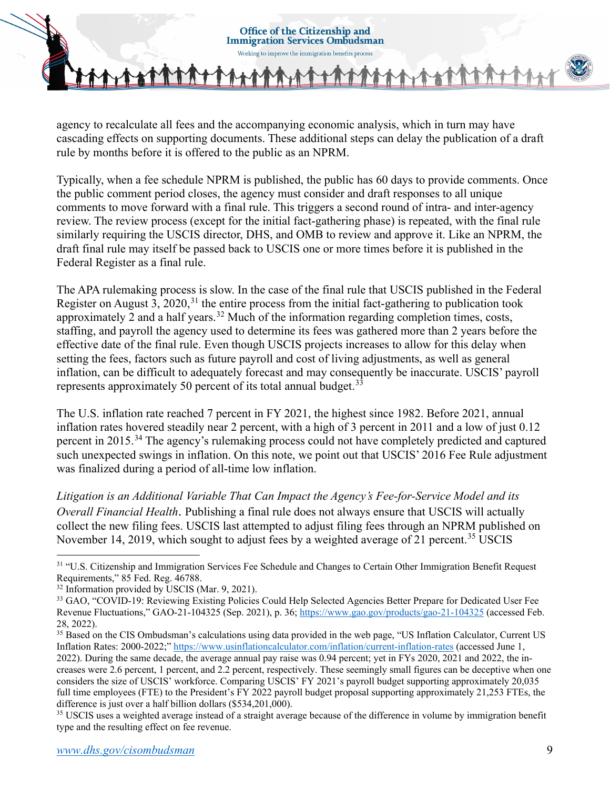agency to recalculate all fees and the accompanying economic analysis, which in turn may have cascading effects on supporting documents. These additional steps can delay the publication of a draft rule by months before it is offered to the public as an NPRM.

Typically, when a fee schedule NPRM is published, the public has 60 days to provide comments. Once the public comment period closes, the agency must consider and draft responses to all unique comments to move forward with a final rule. This triggers a second round of intra- and inter-agency review. The review process (except for the initial fact-gathering phase) is repeated, with the final rule similarly requiring the USCIS director, DHS, and OMB to review and approve it. Like an NPRM, the draft final rule may itself be passed back to USCIS one or more times before it is published in the Federal Register as a final rule.

The APA rulemaking process is slow. In the case of the final rule that USCIS published in the Federal Register on August 3, 2020,  $31$  the entire process from the initial fact-gathering to publication took approximately 2 and a half years.<sup>[32](#page-8-1)</sup> Much of the information regarding completion times, costs, staffing, and payroll the agency used to determine its fees was gathered more than 2 years before the effective date of the final rule. Even though USCIS projects increases to allow for this delay when setting the fees, factors such as future payroll and cost of living adjustments, as well as general inflation, can be difficult to adequately forecast and may consequently be inaccurate. USCIS' payroll represents approximately 50 percent of its total annual budget. $33$ 

The U.S. inflation rate reached 7 percent in FY 2021, the highest since 1982. Before 2021, annual inflation rates hovered steadily near 2 percent, with a high of 3 percent in 2011 and a low of just 0.12 percent in 2015.[34](#page-8-3) The agency's rulemaking process could not have completely predicted and captured such unexpected swings in inflation. On this note, we point out that USCIS' 2016 Fee Rule adjustment was finalized during a period of all-time low inflation.

*Litigation is an Additional Variable That Can Impact the Agency's Fee-for-Service Model and its Overall Financial Health*. Publishing a final rule does not always ensure that USCIS will actually collect the new filing fees. USCIS last attempted to adjust filing fees through an NPRM published on November 14, 2019, which sought to adjust fees by a weighted average of 21 percent.<sup>[35](#page-8-4)</sup> USCIS

<span id="page-8-0"></span><sup>&</sup>lt;sup>31</sup> "U.S. Citizenship and Immigration Services Fee Schedule and Changes to Certain Other Immigration Benefit Request Requirements," 85 Fed. Reg. 46788.

<span id="page-8-2"></span><span id="page-8-1"></span><sup>&</sup>lt;sup>32</sup> Information provided by USCIS (Mar. 9, 2021).<br><sup>33</sup> GAO, "COVID-19: Reviewing Existing Policies Could Help Selected Agencies Better Prepare for Dedicated User Fee Revenue Fluctuations," GAO-21-104325 (Sep. 2021), p. 36;<https://www.gao.gov/products/gao-21-104325>(accessed Feb. 28, 2022).

<span id="page-8-3"></span><sup>&</sup>lt;sup>35</sup> Based on the CIS Ombudsman's calculations using data provided in the web page, "US Inflation Calculator, Current US Inflation Rates: 2000-2022;"<https://www.usinflationcalculator.com/inflation/current-inflation-rates> (accessed June 1, 2022). During the same decade, the average annual pay raise was 0.94 percent; yet in FYs 2020, 2021 and 2022, the increases were 2.6 percent, 1 percent, and 2.2 percent, respectively. These seemingly small figures can be deceptive when one considers the size of USCIS' workforce. Comparing USCIS' FY 2021's payroll budget supporting approximately 20,035 full time employees (FTE) to the President's FY 2022 payroll budget proposal supporting approximately 21,253 FTEs, the difference is just over a half billion dollars (\$534,201,000).<br><sup>35</sup> USCIS uses a weighted average instead of a straight average because of the difference in volume by immigration benefit

<span id="page-8-4"></span>type and the resulting effect on fee revenue.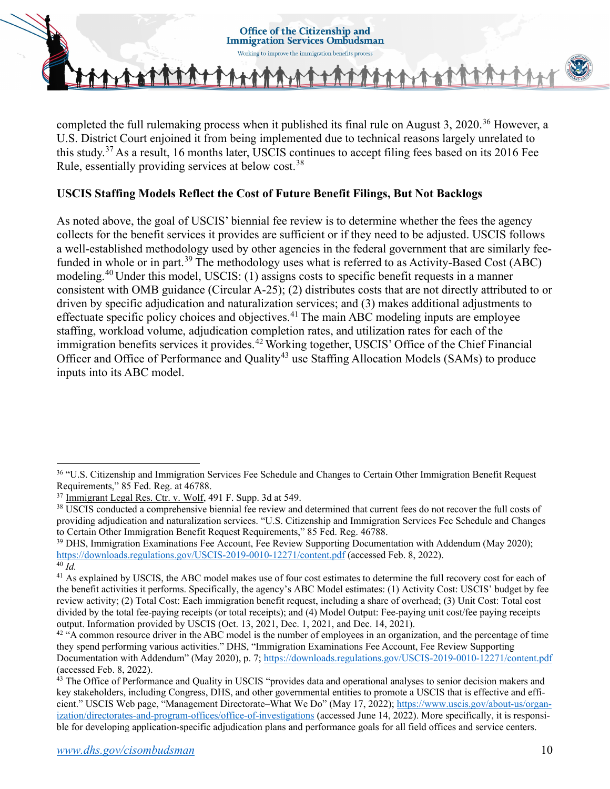

completed the full rulemaking process when it published its final rule on August 3, 2020.<sup>36</sup> However, a U.S. District Court enjoined it from being implemented due to technical reasons largely unrelated to this study.[37](#page-9-1) As a result, 16 months later, USCIS continues to accept filing fees based on its 2016 Fee Rule, essentially providing services at below cost.<sup>[38](#page-9-2)</sup>

## **USCIS Staffing Models Reflect the Cost of Future Benefit Filings, But Not Backlogs**

As noted above, the goal of USCIS' biennial fee review is to determine whether the fees the agency collects for the benefit services it provides are sufficient or if they need to be adjusted. USCIS follows a well-established methodology used by other agencies in the federal government that are similarly fee-funded in whole or in part.<sup>[39](#page-9-3)</sup> The methodology uses what is referred to as Activity-Based Cost (ABC) modeling.[40](#page-9-4) Under this model, USCIS: (1) assigns costs to specific benefit requests in a manner consistent with OMB guidance (Circular A-25); (2) distributes costs that are not directly attributed to or driven by specific adjudication and naturalization services; and (3) makes additional adjustments to effectuate specific policy choices and objectives.<sup>[41](#page-9-5)</sup> The main ABC modeling inputs are employee staffing, workload volume, adjudication completion rates, and utilization rates for each of the immigration benefits services it provides.<sup>[42](#page-9-6)</sup> Working together, USCIS' Office of the Chief Financial Officer and Office of Performance and Quality<sup>[43](#page-9-7)</sup> use Staffing Allocation Models (SAMs) to produce inputs into its ABC model.

<span id="page-9-0"></span><sup>&</sup>lt;sup>36</sup> "U.S. Citizenship and Immigration Services Fee Schedule and Changes to Certain Other Immigration Benefit Request Requirements," 85 Fed. Reg. at 46788.<br><sup>37</sup> Immigrant Legal Res. Ctr. v. Wolf, 491 F. Supp. 3d at 549.

<span id="page-9-1"></span>

<span id="page-9-2"></span><sup>&</sup>lt;sup>38</sup> USCIS conducted a comprehensive biennial fee review and determined that current fees do not recover the full costs of providing adjudication and naturalization services. "U.S. Citizenship and Immigration Services Fee Schedule and Changes to Certain Other Immigration Benefit Request Requirements," 85 Fed. Reg. 46788.

<span id="page-9-3"></span><sup>&</sup>lt;sup>39</sup> DHS, Immigration Examinations Fee Account, Fee Review Supporting Documentation with Addendum (May 2020); <https://downloads.regulations.gov/USCIS-2019-0010-12271/content.pdf>(accessed Feb. 8, 2022).

<span id="page-9-4"></span><sup>40</sup> *Id.* 

<span id="page-9-5"></span><sup>&</sup>lt;sup>41</sup> As explained by USCIS, the ABC model makes use of four cost estimates to determine the full recovery cost for each of the benefit activities it performs. Specifically, the agency's ABC Model estimates: (1) Activity Cost: USCIS' budget by fee review activity; (2) Total Cost: Each immigration benefit request, including a share of overhead; (3) Unit Cost: Total cost divided by the total fee-paying receipts (or total receipts); and (4) Model Output: Fee-paying unit cost/fee paying receipts output. Information provided by USCIS (Oct. 13, 2021, Dec. 1, 2021, and Dec. 14, 2021).

<span id="page-9-6"></span> $42$  "A common resource driver in the ABC model is the number of employees in an organization, and the percentage of time they spend performing various activities." DHS, "Immigration Examinations Fee Account, Fee Review Supporting Documentation with Addendum" (May 2020), p. 7;<https://downloads.regulations.gov/USCIS-2019-0010-12271/content.pdf> (accessed Feb. 8, 2022).

<span id="page-9-7"></span> $43$  The Office of Performance and Quality in USCIS "provides data and operational analyses to senior decision makers and key stakeholders, including Congress, DHS, and other governmental entities to promote a USCIS that is effective and efficient." USCIS Web page, "Management Directorate–What We Do" (May 17, 2022); [https://www.uscis.gov/about-us/organ](https://www.uscis.gov/about-us/organization/directorates-and-program-offices/office-of-investigations)[ization/directorates-and-program-offices/office-of-investigations](https://www.uscis.gov/about-us/organization/directorates-and-program-offices/office-of-investigations) (accessed June 14, 2022). More specifically, it is responsible for developing application-specific adjudication plans and performance goals for all field offices and service centers.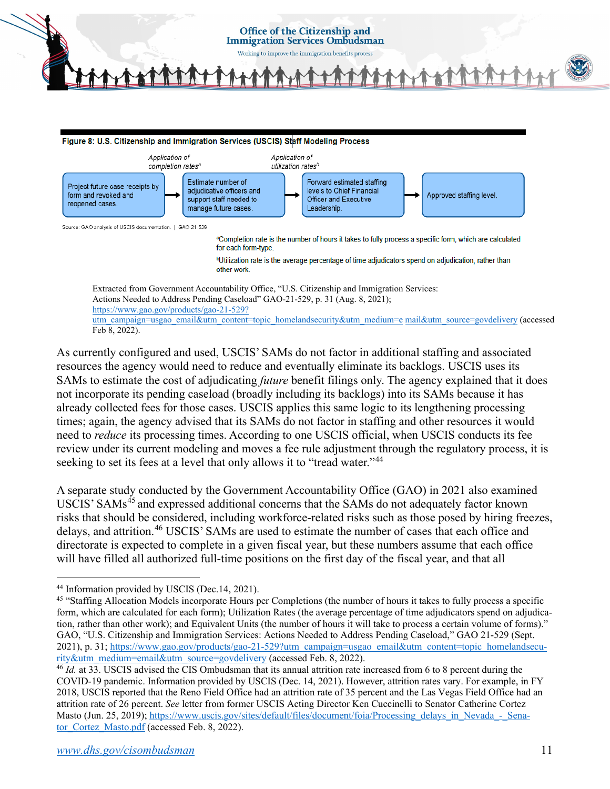

As currently configured and used, USCIS' SAMs do not factor in additional staffing and associated resources the agency would need to reduce and eventually eliminate its backlogs. USCIS uses its SAMs to estimate the cost of adjudicating *future* benefit filings only. The agency explained that it does not incorporate its pending caseload (broadly including its backlogs) into its SAMs because it has already collected fees for those cases. USCIS applies this same logic to its lengthening processing times; again, the agency advised that its SAMs do not factor in staffing and other resources it would need to *reduce* its processing times. According to one USCIS official, when USCIS conducts its fee review under its current modeling and moves a fee rule adjustment through the regulatory process, it is seeking to set its fees at a level that only allows it to "tread water."<sup>[44](#page-10-0)</sup>

A separate study conducted by the Government Accountability Office (GAO) in 2021 also examined USCIS' SAMs<sup>[45](#page-10-1)</sup> and expressed additional concerns that the SAMs do not adequately factor known risks that should be considered, including workforce-related risks such as those posed by hiring freezes, delays, and attrition.<sup>[46](#page-10-2)</sup> USCIS' SAMs are used to estimate the number of cases that each office and directorate is expected to complete in a given fiscal year, but these numbers assume that each office will have filled all authorized full-time positions on the first day of the fiscal year, and that all

<span id="page-10-0"></span><sup>44</sup> Information provided by USCIS (Dec.14, 2021).

<span id="page-10-1"></span><sup>45</sup> "Staffing Allocation Models incorporate Hours per Completions (the number of hours it takes to fully process a specific form, which are calculated for each form); Utilization Rates (the average percentage of time adjudicators spend on adjudication, rather than other work); and Equivalent Units (the number of hours it will take to process a certain volume of forms)." GAO, "U.S. Citizenship and Immigration Services: Actions Needed to Address Pending Caseload," GAO 21-529 (Sept. 2021), p. 31[; https://www.gao.gov/products/gao-21-529?utm\\_campaign=usgao\\_email&utm\\_content=topic\\_homelandsecu](https://www.gao.gov/products/gao-21-529?utm_campaign=usgao_email&utm_content=topic_homelandsecurity&utm_medium=email&utm_source=govdelivery)[rity&utm\\_medium=email&utm\\_source=govdelivery](https://www.gao.gov/products/gao-21-529?utm_campaign=usgao_email&utm_content=topic_homelandsecurity&utm_medium=email&utm_source=govdelivery) (accessed Feb. 8, 2022).

<span id="page-10-2"></span><sup>46</sup> *Id.* at 33. USCIS advised the CIS Ombudsman that its annual attrition rate increased from 6 to 8 percent during the COVID-19 pandemic. Information provided by USCIS (Dec. 14, 2021). However, attrition rates vary. For example, in FY 2018, USCIS reported that the Reno Field Office had an attrition rate of 35 percent and the Las Vegas Field Office had an attrition rate of 26 percent. *See* letter from former USCIS Acting Director Ken Cuccinelli to Senator Catherine Cortez Masto (Jun. 25, 2019); [https://www.uscis.gov/sites/default/files/document/foia/Processing\\_delays\\_in\\_Nevada\\_-\\_Sena](https://www.uscis.gov/sites/default/files/document/foia/Processing_delays_in_Nevada_-_Senator_Cortez_Masto.pdf)[tor\\_Cortez\\_Masto.pdf \(](https://www.uscis.gov/sites/default/files/document/foia/Processing_delays_in_Nevada_-_Senator_Cortez_Masto.pdf)accessed Feb. 8, 2022).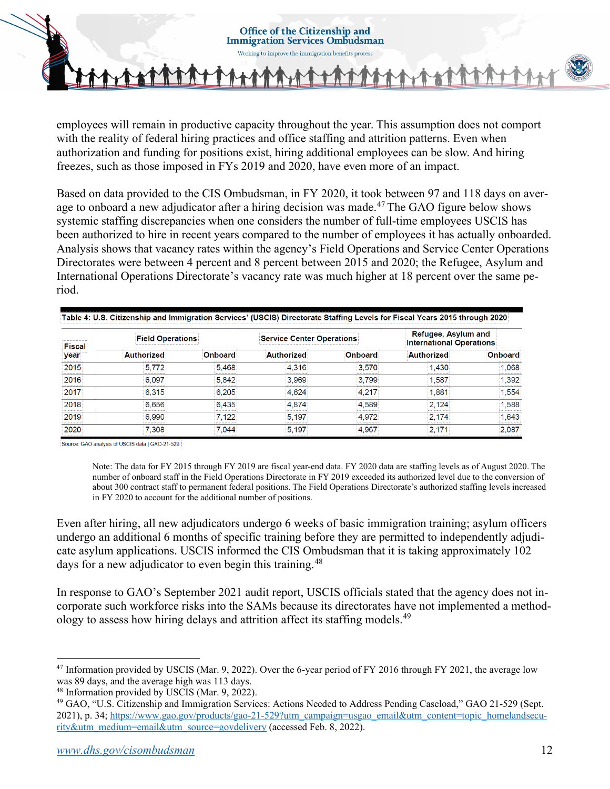employees will remain in productive capacity throughout the year. This assumption does not comport with the reality of federal hiring practices and office staffing and attrition patterns. Even when authorization and funding for positions exist, hiring additional employees can be slow. And hiring freezes, such as those imposed in FYs 2019 and 2020, have even more of an impact.

Based on data provided to the CIS Ombudsman, in FY 2020, it took between 97 and 118 days on aver-age to onboard a new adjudicator after a hiring decision was made.<sup>[47](#page-11-0)</sup> The GAO figure below shows systemic staffing discrepancies when one considers the number of full-time employees USCIS has been authorized to hire in recent years compared to the number of employees it has actually onboarded. Analysis shows that vacancy rates within the agency's Field Operations and Service Center Operations Directorates were between 4 percent and 8 percent between 2015 and 2020; the Refugee, Asylum and International Operations Directorate's vacancy rate was much higher at 18 percent over the same period.

| <br>year<br>     | <b>Field Operations</b> |                   | <b>Service Center Operations</b> |                           | Refugee, Asv<br>um and<br><b>International Operations</b> |                    |
|------------------|-------------------------|-------------------|----------------------------------|---------------------------|-----------------------------------------------------------|--------------------|
|                  |                         |                   | ---------------------------      | ,,,,,,,,,,,,,,,,,,,,,,,,, | norized<br>,,,,,,,,,,,,,,,,,,,,,                          | narc               |
| ,,,,,,,,,,,,     | ,,,,,,,,,,,,            |                   | ,,,,,,,,,,,,                     | 5/<br>,,,,,,,,,           |                                                           | 068<br>,,,,,,,,,,, |
|                  | ופר<br>.                |                   | <b><i>BARRASSERREES</i></b>      | 799<br><i>.</i>           |                                                           | 392                |
|                  | 6.315                   | <b>**********</b> |                                  | <b>***********</b>        | 88                                                        | 554                |
|                  |                         |                   |                                  |                           |                                                           | 588                |
| 11111111111<br>. | .                       | <b>.</b>          |                                  | .                         | 74<br>.                                                   | 643                |
| .                | 08<br>.                 |                   | .                                | .                         | .                                                         | .                  |

Table 4: U.S. Citizenship and Immigration Services' (USCIS) Directorate Staffing Levels for Fiscal Years 2015 through 2020

Source: GAO analysis of USCIS data I GAO-21-529.

Note: The data for FY 2015 through FY 2019 are fiscal year-end data. FY 2020 data are staffing levels as of August 2020. The number of onboard staff in the Field Operations Directorate in FY 2019 exceeded its authorized level due to the conversion of about 300 contract staff to permanent federal positions. The Field Operations Directorate's authorized staffing levels increased in FY 2020 to account for the additional number of positions.

Even after hiring, all new adjudicators undergo 6 weeks of basic immigration training; asylum officers undergo an additional 6 months of specific training before they are permitted to independently adjudicate asylum applications. USCIS informed the CIS Ombudsman that it is taking approximately 102 days for a new adjudicator to even begin this training.<sup>[48](#page-11-1)</sup>

In response to GAO's September 2021 audit report, USCIS officials stated that the agency does not incorporate such workforce risks into the SAMs because its directorates have not implemented a method-ology to assess how hiring delays and attrition affect its staffing models.<sup>[49](#page-11-2)</sup>

<span id="page-11-0"></span><sup>47</sup> Information provided by USCIS (Mar. 9, 2022). Over the 6-year period of FY 2016 through FY 2021, the average low was 89 days, and the average high was 113 days. 48 Information provided by USCIS (Mar. 9, 2022).

<span id="page-11-1"></span>

<span id="page-11-2"></span><sup>49</sup> GAO, "U.S. Citizenship and Immigration Services: Actions Needed to Address Pending Caseload," GAO 21-529 (Sept. 2021), p. 34[; https://www.gao.gov/products/gao-21-529?utm\\_campaign=usgao\\_email&utm\\_content=topic\\_homelandsecu](https://www.gao.gov/products/gao-21-529?utm_campaign=usgao_email&utm_content=topic_homelandsecurity&utm_medium=email&utm_source=govdelivery)[rity&utm\\_medium=email&utm\\_source=govdelivery](https://www.gao.gov/products/gao-21-529?utm_campaign=usgao_email&utm_content=topic_homelandsecurity&utm_medium=email&utm_source=govdelivery) (accessed Feb. 8, 2022).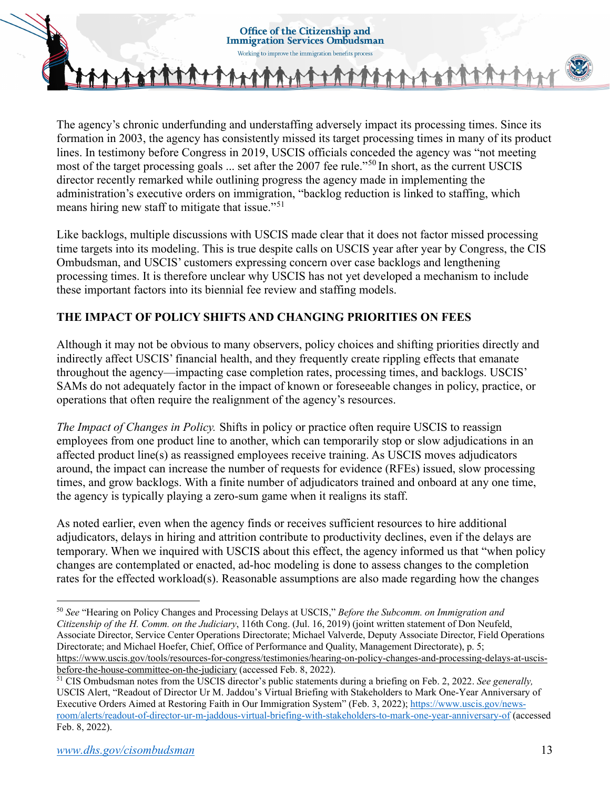

The agency's chronic underfunding and understaffing adversely impact its processing times. Since its formation in 2003, the agency has consistently missed its target processing times in many of its product lines. In testimony before Congress in 2019, USCIS officials conceded the agency was "not meeting most of the target processing goals ... set after the 2007 fee rule."[50](#page-12-0) In short, as the current USCIS director recently remarked while outlining progress the agency made in implementing the administration's executive orders on immigration, "backlog reduction is linked to staffing, which means hiring new staff to mitigate that issue."<sup>[51](#page-12-1)</sup>

Like backlogs, multiple discussions with USCIS made clear that it does not factor missed processing time targets into its modeling. This is true despite calls on USCIS year after year by Congress, the CIS Ombudsman, and USCIS' customers expressing concern over case backlogs and lengthening processing times. It is therefore unclear why USCIS has not yet developed a mechanism to include these important factors into its biennial fee review and staffing models.

# **THE IMPACT OF POLICY SHIFTS AND CHANGING PRIORITIES ON FEES**

Although it may not be obvious to many observers, policy choices and shifting priorities directly and indirectly affect USCIS' financial health, and they frequently create rippling effects that emanate throughout the agency—impacting case completion rates, processing times, and backlogs. USCIS' SAMs do not adequately factor in the impact of known or foreseeable changes in policy, practice, or operations that often require the realignment of the agency's resources.

*The Impact of Changes in Policy.* Shifts in policy or practice often require USCIS to reassign employees from one product line to another, which can temporarily stop or slow adjudications in an affected product line(s) as reassigned employees receive training. As USCIS moves adjudicators around, the impact can increase the number of requests for evidence (RFEs) issued, slow processing times, and grow backlogs. With a finite number of adjudicators trained and onboard at any one time, the agency is typically playing a zero-sum game when it realigns its staff.

As noted earlier, even when the agency finds or receives sufficient resources to hire additional adjudicators, delays in hiring and attrition contribute to productivity declines, even if the delays are temporary. When we inquired with USCIS about this effect, the agency informed us that "when policy changes are contemplated or enacted, ad-hoc modeling is done to assess changes to the completion rates for the effected workload(s). Reasonable assumptions are also made regarding how the changes

<span id="page-12-0"></span><sup>50</sup> *See* "Hearing on Policy Changes and Processing Delays at USCIS," *Before the Subcomm. on Immigration and Citizenship of the H. Comm. on the Judiciary*, 116th Cong. (Jul. 16, 2019) (joint written statement of Don Neufeld, Associate Director, Service Center Operations Directorate; Michael Valverde, Deputy Associate Director, Field Operations Directorate; and Michael Hoefer, Chief, Office of Performance and Quality, Management Directorate), p. 5; [https://www.uscis.gov/tools/resources-for-congress/testimonies/hearing-on-policy-changes-and-processing-delays-at-uscis](https://www.uscis.gov/tools/resources-for-congress/testimonies/hearing-on-policy-changes-and-processing-delays-at-uscis-before-the-house-committee-on-the-judiciary)[before-the-house-committee-on-the-judiciary](https://www.uscis.gov/tools/resources-for-congress/testimonies/hearing-on-policy-changes-and-processing-delays-at-uscis-before-the-house-committee-on-the-judiciary) (accessed Feb. 8, 2022).

<span id="page-12-1"></span><sup>51</sup> CIS Ombudsman notes from the USCIS director's public statements during a briefing on Feb. 2, 2022. *See generally,* USCIS Alert, "Readout of Director Ur M. Jaddou's Virtual Briefing with Stakeholders to Mark One-Year Anniversary of Executive Orders Aimed at Restoring Faith in Our Immigration System" (Feb. 3, 2022); [https://www.uscis.gov/news](https://www.uscis.gov/newsroom/alerts/readout-of-director-ur-m-jaddous-virtual-briefing-with-stakeholders-to-mark-one-year-anniversary-of)[room/alerts/readout-of-director-ur-m-jaddous-virtual-briefing-with-stakeholders-to-mark-one-year-anniversary-of](https://www.uscis.gov/newsroom/alerts/readout-of-director-ur-m-jaddous-virtual-briefing-with-stakeholders-to-mark-one-year-anniversary-of) (accessed Feb. 8, 2022).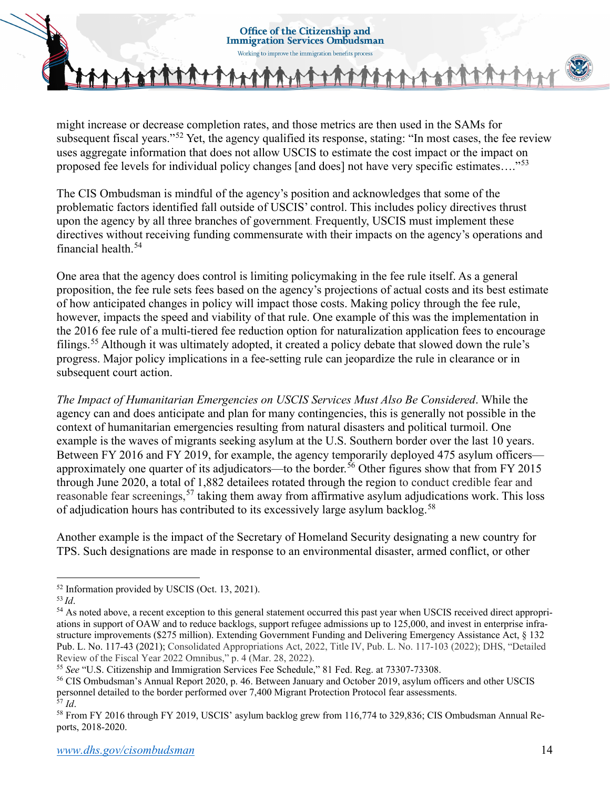**Immigration Services Ombudsman** Working to improve the immigration benefits process

**Office of the Citizenship and** 

might increase or decrease completion rates, and those metrics are then used in the SAMs for subsequent fiscal years."<sup>[52](#page-13-0)</sup> Yet, the agency qualified its response, stating: "In most cases, the fee review uses aggregate information that does not allow USCIS to estimate the cost impact or the impact on proposed fee levels for individual policy changes [and does] not have very specific estimates...."<sup>[53](#page-13-1)</sup>

The CIS Ombudsman is mindful of the agency's position and acknowledges that some of the problematic factors identified fall outside of USCIS' control. This includes policy directives thrust upon the agency by all three branches of government. Frequently, USCIS must implement these directives without receiving funding commensurate with their impacts on the agency's operations and financial health.[54](#page-13-2) 

One area that the agency does control is limiting policymaking in the fee rule itself. As a general proposition, the fee rule sets fees based on the agency's projections of actual costs and its best estimate of how anticipated changes in policy will impact those costs. Making policy through the fee rule, however, impacts the speed and viability of that rule. One example of this was the implementation in the 2016 fee rule of a multi-tiered fee reduction option for naturalization application fees to encourage filings.<sup>[55](#page-13-3)</sup> Although it was ultimately adopted, it created a policy debate that slowed down the rule's progress. Major policy implications in a fee-setting rule can jeopardize the rule in clearance or in subsequent court action.

*The Impact of Humanitarian Emergencies on USCIS Services Must Also Be Considered*. While the agency can and does anticipate and plan for many contingencies, this is generally not possible in the context of humanitarian emergencies resulting from natural disasters and political turmoil. One example is the waves of migrants seeking asylum at the U.S. Southern border over the last 10 years. Between FY 2016 and FY 2019, for example, the agency temporarily deployed 475 asylum officers— approximately one quarter of its adjudicators—to the border.<sup>[56](#page-13-4)</sup> Other figures show that from FY 2015 through June 2020, a total of 1,882 detailees rotated through the region to conduct credible fear and reasonable fear screenings,<sup>[57](#page-13-5)</sup> taking them away from affirmative asylum adjudications work. This loss of adjudication hours has contributed to its excessively large asylum backlog.<sup>[58](#page-13-6)</sup>

Another example is the impact of the Secretary of Homeland Security designating a new country for TPS. Such designations are made in response to an environmental disaster, armed conflict, or other

<span id="page-13-0"></span><sup>&</sup>lt;sup>52</sup> Information provided by USCIS (Oct. 13, 2021).<br><sup>53</sup> *Id.* 

<span id="page-13-2"></span><span id="page-13-1"></span><sup>&</sup>lt;sup>54</sup> As noted above, a recent exception to this general statement occurred this past year when USCIS received direct appropriations in support of OAW and to reduce backlogs, support refugee admissions up to 125,000, and invest in enterprise infrastructure improvements (\$275 million). Extending Government Funding and Delivering Emergency Assistance Act, § 132 Pub. L. No. 117-43 (2021); Consolidated Appropriations Act, 2022, Title IV, Pub. L. No. 117-103 (2022); DHS, "Detailed

<span id="page-13-4"></span><span id="page-13-3"></span>

Review of the Fiscal Year 2022 Omnibus," p. 4 (Mar. 28, 2022).<br><sup>55</sup> See "U.S. Citizenship and Immigration Services Fee Schedule," 81 Fed. Reg. at 73307-73308.<br><sup>56</sup> CIS Ombudsman's Annual Report 2020, p. 46. Between January

<span id="page-13-6"></span><span id="page-13-5"></span><sup>&</sup>lt;sup>57</sup> Id.<br><sup>58</sup> From FY 2016 through FY 2019, USCIS' asylum backlog grew from 116,774 to 329,836; CIS Ombudsman Annual Reports, 2018-2020.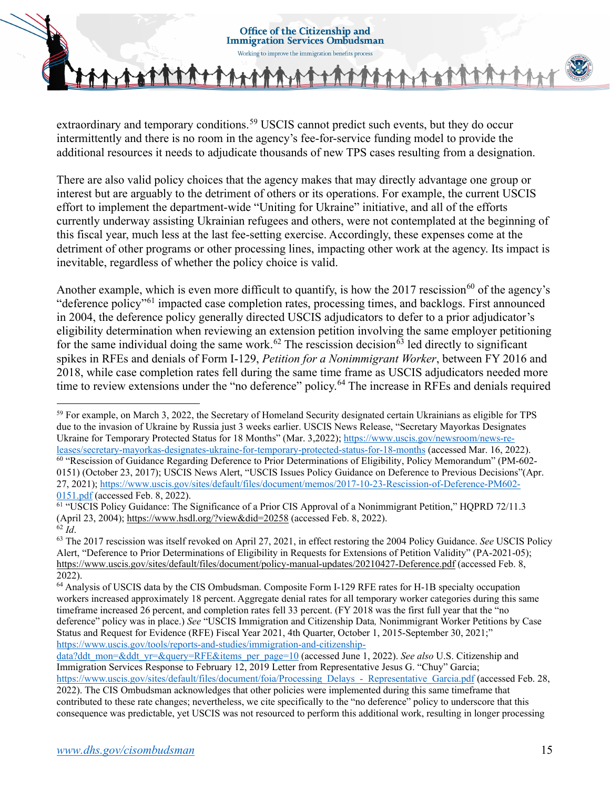extraordinary and temporary conditions.<sup>59</sup> USCIS cannot predict such events, but they do occur intermittently and there is no room in the agency's fee-for-service funding model to provide the additional resources it needs to adjudicate thousands of new TPS cases resulting from a designation.

There are also valid policy choices that the agency makes that may directly advantage one group or interest but are arguably to the detriment of others or its operations. For example, the current USCIS effort to implement the department-wide "Uniting for Ukraine" initiative, and all of the efforts currently underway assisting Ukrainian refugees and others, were not contemplated at the beginning of this fiscal year, much less at the last fee-setting exercise. Accordingly, these expenses come at the detriment of other programs or other processing lines, impacting other work at the agency. Its impact is inevitable, regardless of whether the policy choice is valid.

Another example, which is even more difficult to quantify, is how the 2017 rescission<sup>60</sup> of the agency's "deference policy"[61](#page-14-2) impacted case completion rates, processing times, and backlogs. First announced in 2004, the deference policy generally directed USCIS adjudicators to defer to a prior adjudicator's eligibility determination when reviewing an extension petition involving the same employer petitioning for the same individual doing the same work.<sup>[62](#page-14-3)</sup> The rescission decision<sup>[63](#page-14-4)</sup> led directly to significant spikes in RFEs and denials of Form I-129, *Petition for a Nonimmigrant Worker*, between FY 2016 and 2018, while case completion rates fell during the same time frame as USCIS adjudicators needed more time to review extensions under the "no deference" policy.<sup>[64](#page-14-5)</sup> The increase in RFEs and denials required

<span id="page-14-0"></span><sup>59</sup> For example, on March 3, 2022, the Secretary of Homeland Security designated certain Ukrainians as eligible for TPS due to the invasion of Ukraine by Russia just 3 weeks earlier. USCIS News Release, "Secretary Mayorkas Designates Ukraine for Temporary Protected Status for 18 Months" (Mar. 3,2022); [https://www.uscis.gov/newsroom/news-re](https://www.uscis.gov/newsroom/news-releases/secretary-mayorkas-designates-ukraine-for-temporary-protected-status-for-18-months)[leases/secretary-mayorkas-designates-ukraine-for-temporary-protected-status-for-18-months](https://www.uscis.gov/newsroom/news-releases/secretary-mayorkas-designates-ukraine-for-temporary-protected-status-for-18-months) (accessed Mar. 16, 2022). <sup>60</sup> "Rescission of Guidance Regarding Deference to Prior Determinations of Eligibility, Policy Memorandum" (PM-602- 0151) (October 23, 2017); USCIS News Alert, "USCIS Issues Policy Guidance on Deference to Previous Decisions"(Apr. 27, 2021)[; https://www.uscis.gov/sites/default/files/document/memos/2017-10-23-Rescission-of-Deference-PM602-](https://www.uscis.gov/sites/default/files/document/memos/2017-10-23-Rescission-of-Deference-PM602-0151.pdf)

<span id="page-14-2"></span><span id="page-14-1"></span><sup>0151.</sup>pdf (accessed Feb. 8, 2022).<br><sup>61</sup> "USCIS Policy Guidance: The Significance of a Prior CIS Approval of a Nonimmigrant Petition," HQPRD 72/11.3 (April 23, 2004)[; https://www.hsdl.org/?view&did=20258](https://www.hsdl.org/?view&did=20258) (accessed Feb. 8, 2022). <sup>62</sup> *Id.* 

<span id="page-14-4"></span><span id="page-14-3"></span><sup>62</sup> *Id*. 63 The 2017 rescission was itself revoked on April 27, 2021, in effect restoring the 2004 Policy Guidance. *See* USCIS Policy Alert, "Deference to Prior Determinations of Eligibility in Requests for Extensions of Petition Validity" (PA-2021-05); <https://www.uscis.gov/sites/default/files/document/policy-manual-updates/20210427-Deference.pdf> (accessed Feb. 8, 2022).

<span id="page-14-5"></span><sup>64</sup> Analysis of USCIS data by the CIS Ombudsman. Composite Form I-129 RFE rates for H-1B specialty occupation workers increased approximately 18 percent. Aggregate denial rates for all temporary worker categories during this same timeframe increased 26 percent, and completion rates fell 33 percent. (FY 2018 was the first full year that the "no deference" policy was in place.) *See* "USCIS Immigration and Citizenship Data*,* Nonimmigrant Worker Petitions by Case Status and Request for Evidence (RFE) Fiscal Year 2021, 4th Quarter, October 1, 2015-September 30, 2021;" [https://www.uscis.gov/tools/reports-and-studies/immigration-and-citizenship-](https://www.uscis.gov/tools/reports-and-studies/immigration-and-citizenship-data?ddt_mon=&ddt_yr=&query=RFE&items_per_page=10)

[data?ddt\\_mon=&ddt\\_yr=&query=RFE&items\\_per\\_page=10](https://www.uscis.gov/tools/reports-and-studies/immigration-and-citizenship-data?ddt_mon=&ddt_yr=&query=RFE&items_per_page=10) (accessed June 1, 2022). *See also* U.S. Citizenship and Immigration Services Response to February 12, 2019 Letter from Representative Jesus G. "Chuy" Garcia;

[https://www.uscis.gov/sites/default/files/document/foia/Processing\\_Delays\\_-\\_Representative\\_Garcia.pdf](https://www.uscis.gov/sites/default/files/document/foia/Processing_Delays_-_Representative_Garcia.pdf) (accessed Feb. 28, 2022). The CIS Ombudsman acknowledges that other policies were implemented during this same timeframe that contributed to these rate changes; nevertheless, we cite specifically to the "no deference" policy to underscore that this consequence was predictable, yet USCIS was not resourced to perform this additional work, resulting in longer processing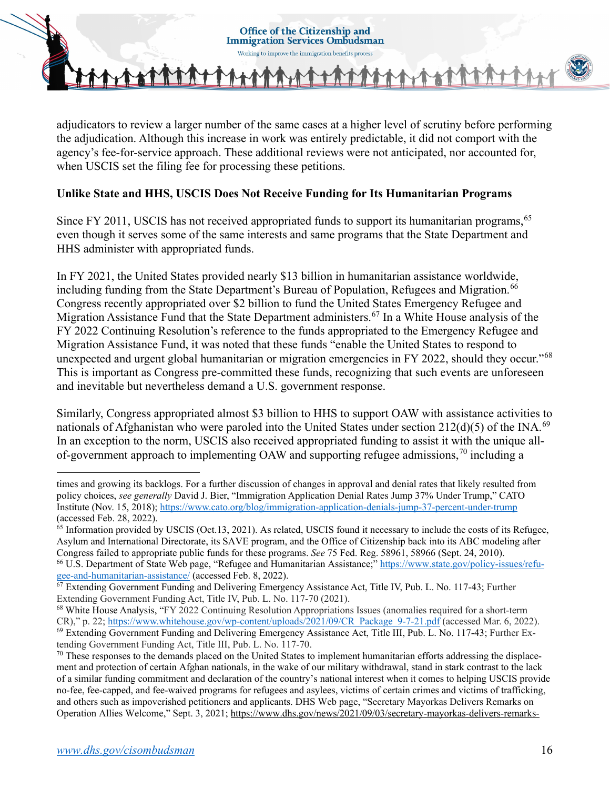

adjudicators to review a larger number of the same cases at a higher level of scrutiny before performing the adjudication. Although this increase in work was entirely predictable, it did not comport with the agency's fee-for-service approach. These additional reviews were not anticipated, nor accounted for, when USCIS set the filing fee for processing these petitions.

## **Unlike State and HHS, USCIS Does Not Receive Funding for Its Humanitarian Programs**

Since FY 2011, USCIS has not received appropriated funds to support its humanitarian programs, <sup>[65](#page-15-0)</sup> even though it serves some of the same interests and same programs that the State Department and HHS administer with appropriated funds.

In FY 2021, the United States provided nearly \$13 billion in humanitarian assistance worldwide, including funding from the State Department's Bureau of Population, Refugees and Migration.<sup>[66](#page-15-1)</sup> Congress recently appropriated over \$2 billion to fund the United States Emergency Refugee and Migration Assistance Fund that the State Department administers.<sup>[67](#page-15-2)</sup> In a White House analysis of the FY 2022 Continuing Resolution's reference to the funds appropriated to the Emergency Refugee and Migration Assistance Fund, it was noted that these funds "enable the United States to respond to unexpected and urgent global humanitarian or migration emergencies in FY 2022, should they occur."[68](#page-15-3) This is important as Congress pre-committed these funds, recognizing that such events are unforeseen and inevitable but nevertheless demand a U.S. government response.

Similarly, Congress appropriated almost \$3 billion to HHS to support OAW with assistance activities to nationals of Afghanistan who were paroled into the United States under section  $212(d)(5)$  of the INA.<sup>[69](#page-15-4)</sup> In an exception to the norm, USCIS also received appropriated funding to assist it with the unique all-of-government approach to implementing OAW and supporting refugee admissions,<sup>[70](#page-15-5)</sup> including a

<span id="page-15-1"></span><sup>66</sup> U.S. Department of State Web page, "Refugee and Humanitarian Assistance;[" https://www.state.gov/policy-issues/refu](https://www.state.gov/policy-issues/refugee-and-humanitarian-assistance/)[gee-and-humanitarian-assistance/](https://www.state.gov/policy-issues/refugee-and-humanitarian-assistance/) (accessed Feb. 8, 2022).

times and growing its backlogs. For a further discussion of changes in approval and denial rates that likely resulted from policy choices, *see generally* David J. Bier, "Immigration Application Denial Rates Jump 37% Under Trump," CATO Institute (Nov. 15, 2018)[; https://www.cato.org/blog/immigration-application-denials-jump-37-percent-under-trump](https://www.cato.org/blog/immigration-application-denials-jump-37-percent-under-trump) (accessed Feb. 28, 2022).<br><sup>65</sup> Information provided by USCIS (Oct.13, 2021). As related, USCIS found it necessary to include the costs of its Refugee,

<span id="page-15-0"></span>Asylum and International Directorate, its SAVE program, and the Office of Citizenship back into its ABC modeling after Congress failed to appropriate public funds for these programs. *See* 75 Fed. Reg. 58961, 58966 (Sept. 24, 2010).

<span id="page-15-2"></span> $67$  Extending Government Funding and Delivering Emergency Assistance Act, Title IV, Pub. L. No. 117-43; Further Extending Government Funding Act, Title IV, Pub. L. No. 117-70 (2021).

<span id="page-15-4"></span><span id="page-15-3"></span> $^{68}$  White House Analysis, "FY 2022 Continuing Resolution Appropriations Issues (anomalies required for a short-term CR)," p. 22; [https://www.whitehouse.gov/wp-content/uploads/2021/09/CR\\_Package\\_9-7-21.pdf](https://www.whitehouse.gov/wp-content/uploads/2021/09/CR_Package_9-7-21.pdf) (accessed Mar. 6, 2022). <sup>69</sup> Extending Government Funding and Delivering Emergency Assistance Act, Title III, Pub. L. No. 117-43; Further Extending Government Funding Act, Title III, Pub. L. No. 117-70.<br><sup>70</sup> These responses to the demands placed on the United States to implement humanitarian efforts addressing the displace-

<span id="page-15-5"></span>ment and protection of certain Afghan nationals, in the wake of our military withdrawal, stand in stark contrast to the lack of a similar funding commitment and declaration of the country's national interest when it comes to helping USCIS provide no-fee, fee-capped, and fee-waived programs for refugees and asylees, victims of certain crimes and victims of trafficking, and others such as impoverished petitioners and applicants. DHS Web page, "Secretary Mayorkas Delivers Remarks on Operation Allies Welcome," Sept. 3, 2021[; https://www.dhs.gov/news/2021/09/03/secretary-mayorkas-delivers-remarks-](https://www.dhs.gov/news/2021/09/03/secretary-mayorkas-delivers-remarks-operation-allies-welcome)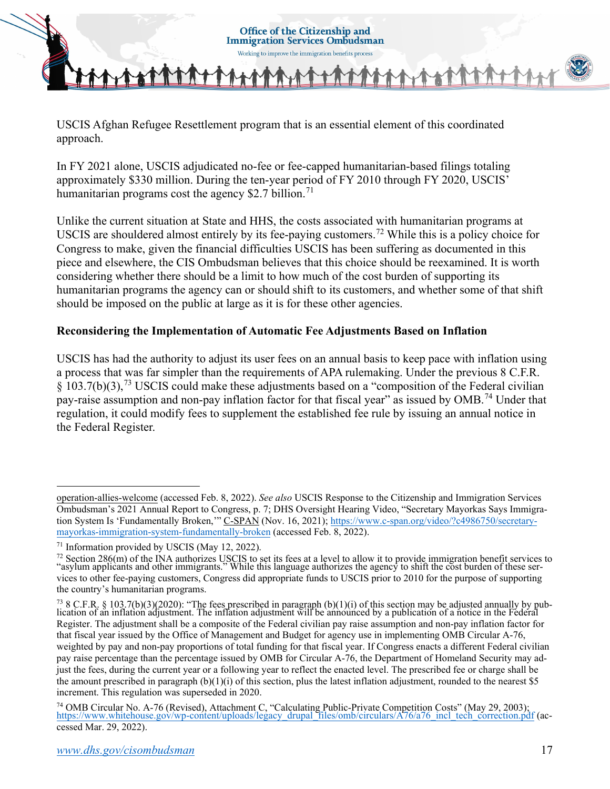USCIS Afghan Refugee Resettlement program that is an essential element of this coordinated approach.

In FY 2021 alone, USCIS adjudicated no-fee or fee-capped humanitarian-based filings totaling approximately \$330 million. During the ten-year period of FY 2010 through FY 2020, USCIS' humanitarian programs cost the agency \$2.7 billion.<sup>[71](#page-16-0)</sup>

Unlike the current situation at State and HHS, the costs associated with humanitarian programs at USCIS are shouldered almost entirely by its fee-paying customers.<sup>[72](#page-16-1)</sup> While this is a policy choice for Congress to make, given the financial difficulties USCIS has been suffering as documented in this piece and elsewhere, the CIS Ombudsman believes that this choice should be reexamined. It is worth considering whether there should be a limit to how much of the cost burden of supporting its humanitarian programs the agency can or should shift to its customers, and whether some of that shift should be imposed on the public at large as it is for these other agencies.

## **Reconsidering the Implementation of Automatic Fee Adjustments Based on Inflation**

USCIS has had the authority to adjust its user fees on an annual basis to keep pace with inflation using a process that was far simpler than the requirements of APA rulemaking. Under the previous 8 C.F.R. § 103.7(b)(3),[73](#page-16-2) USCIS could make these adjustments based on a "composition of the Federal civilian pay-raise assumption and non-pay inflation factor for that fiscal year" as issued by OMB.<sup>74</sup> Under that regulation, it could modify fees to supplement the established fee rule by issuing an annual notice in the Federal Register.

[operation-allies-welcome](https://www.dhs.gov/news/2021/09/03/secretary-mayorkas-delivers-remarks-operation-allies-welcome) (accessed Feb. 8, 2022). *See also* USCIS Response to the Citizenship and Immigration Services Ombudsman's 2021 Annual Report to Congress, p. 7; DHS Oversight Hearing Video, "Secretary Mayorkas Says Immigration System Is 'Fundamentally Broken," C-SPAN (Nov. 16, 2021); [https://www.c-span.org/video/?c4986750/secretary](https://www.c-span.org/video/?c4986750/secretary-mayorkas-immigration-system-fundamentally-broken)[mayorkas-immigration-system-fundamentally-broken](https://www.c-span.org/video/?c4986750/secretary-mayorkas-immigration-system-fundamentally-broken) (accessed Feb. 8, 2022).

<span id="page-16-0"></span><sup>71</sup> Information provided by USCIS (May 12, 2022).

<span id="page-16-1"></span> $^{72}$  Section 286(m) of the INA authorizes USCIS to set its fees at a level to allow it to provide immigration benefit services to "asylum applicants and other immigrants." While this language authorizes the agency to shift the cost burden of these services to other fee-paying customers, Congress did appropriate funds to USCIS prior to 2010 for the purpose of supporting the country's humanitarian programs.

<span id="page-16-2"></span> $^{73}$  8 C.F.R. § 103.7(b)(3)(2020): "The fees prescribed in paragraph (b)(1)(i) of this section may be adjusted annually by publication of an inflation adjustment. The inflation adjustment will be announced by a publication of a notice in the Federal Register. The adjustment shall be a composite of the Federal civilian pay raise assumption and non-pay inflation factor for that fiscal year issued by the Office of Management and Budget for agency use in implementing OMB Circular A-76, weighted by pay and non-pay proportions of total funding for that fiscal year. If Congress enacts a different Federal civilian pay raise percentage than the percentage issued by OMB for Circular A-76, the Department of Homeland Security may adjust the fees, during the current year or a following year to reflect the enacted level. The prescribed fee or charge shall be the amount prescribed in paragraph  $(b)(1)(i)$  of this section, plus the latest inflation adjustment, rounded to the nearest \$5 increment. This regulation was superseded in 2020.

<span id="page-16-3"></span><sup>&</sup>lt;sup>74</sup> OMB Circular No. A-76 (Revised), Attachment C, "Calculating Public-Private Competition Costs" (May 29, 2003); https://www.whitehouse.gov/wp-[content/uploads/legacy\\_drupal\\_files/omb/circulars/A76/a76\\_incl\\_tech\\_correction.pd](https://www.whitehouse.gov/wp-content/uploads/legacy_drupal_files/omb/circulars/A76/a76_incl_tech_correction.pdf)f (accessed Mar. 29, 2022).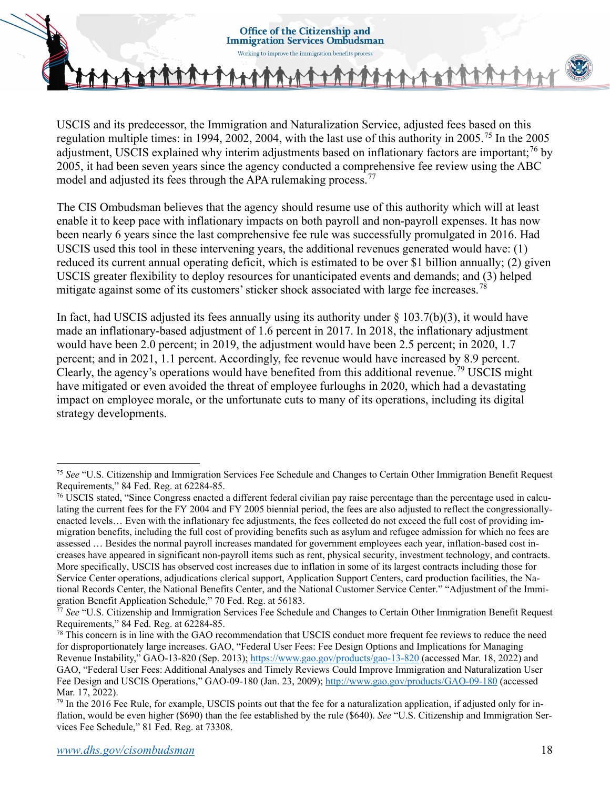

USCIS and its predecessor, the Immigration and Naturalization Service, adjusted fees based on this regulation multiple times: in 1994, 2002, 2004, with the last use of this authority in 2005.<sup>[75](#page-17-0)</sup> In the 2005 adjustment, USCIS explained why interim adjustments based on inflationary factors are important;<sup>[76](#page-17-1)</sup> by 2005, it had been seven years since the agency conducted a comprehensive fee review using the ABC model and adjusted its fees through the APA rulemaking process.<sup>77</sup>

The CIS Ombudsman believes that the agency should resume use of this authority which will at least enable it to keep pace with inflationary impacts on both payroll and non-payroll expenses. It has now been nearly 6 years since the last comprehensive fee rule was successfully promulgated in 2016. Had USCIS used this tool in these intervening years, the additional revenues generated would have: (1) reduced its current annual operating deficit, which is estimated to be over \$1 billion annually; (2) given USCIS greater flexibility to deploy resources for unanticipated events and demands; and (3) helped mitigate against some of its customers' sticker shock associated with large fee increases.<sup>[78](#page-17-3)</sup>

In fact, had USCIS adjusted its fees annually using its authority under  $\S$  103.7(b)(3), it would have made an inflationary-based adjustment of 1.6 percent in 2017. In 2018, the inflationary adjustment would have been 2.0 percent; in 2019, the adjustment would have been 2.5 percent; in 2020, 1.7 percent; and in 2021, 1.1 percent. Accordingly, fee revenue would have increased by 8.9 percent. Clearly, the agency's operations would have benefited from this additional revenue.<sup>[79](#page-17-4)</sup> USCIS might have mitigated or even avoided the threat of employee furloughs in 2020, which had a devastating impact on employee morale, or the unfortunate cuts to many of its operations, including its digital strategy developments.

<span id="page-17-0"></span><sup>75</sup> *See* "U.S. Citizenship and Immigration Services Fee Schedule and Changes to Certain Other Immigration Benefit Request Requirements," 84 Fed. Reg. at 62284-85.

<span id="page-17-1"></span><sup>76</sup> USCIS stated, "Since Congress enacted a different federal civilian pay raise percentage than the percentage used in calculating the current fees for the FY 2004 and FY 2005 biennial period, the fees are also adjusted to reflect the congressionallyenacted levels… Even with the inflationary fee adjustments, the fees collected do not exceed the full cost of providing immigration benefits, including the full cost of providing benefits such as asylum and refugee admission for which no fees are assessed … Besides the normal payroll increases mandated for government employees each year, inflation-based cost increases have appeared in significant non-payroll items such as rent, physical security, investment technology, and contracts. More specifically, USCIS has observed cost increases due to inflation in some of its largest contracts including those for Service Center operations, adjudications clerical support, Application Support Centers, card production facilities, the National Records Center, the National Benefits Center, and the National Customer Service Center." "Adjustment of the Immigration Benefit Application Schedule," 70 Fed. Reg. at 56183.

<span id="page-17-2"></span><sup>77</sup> *See* "U.S. Citizenship and Immigration Services Fee Schedule and Changes to Certain Other Immigration Benefit Request Requirements," 84 Fed. Reg. at 62284-85.

<span id="page-17-3"></span> $78$  This concern is in line with the GAO recommendation that USCIS conduct more frequent fee reviews to reduce the need for disproportionately large increases. GAO, "Federal User Fees: Fee Design Options and Implications for Managing Revenue Instability," GAO-13-820 (Sep. 2013)[; https://www.gao.gov/products/gao-13-820](https://www.gao.gov/products/gao-13-820) (accessed Mar. 18, 2022) and GAO, "Federal User Fees: Additional Analyses and Timely Reviews Could Improve Immigration and Naturalization User Fee Design and USCIS Operations," GAO-09-180 (Jan. 23, 2009);<http://www.gao.gov/products/GAO-09-180> (accessed Mar. 17, 2022).

<span id="page-17-4"></span> $79$  In the 2016 Fee Rule, for example, USCIS points out that the fee for a naturalization application, if adjusted only for inflation, would be even higher (\$690) than the fee established by the rule (\$640). *See* "U.S. Citizenship and Immigration Services Fee Schedule," 81 Fed. Reg. at 73308.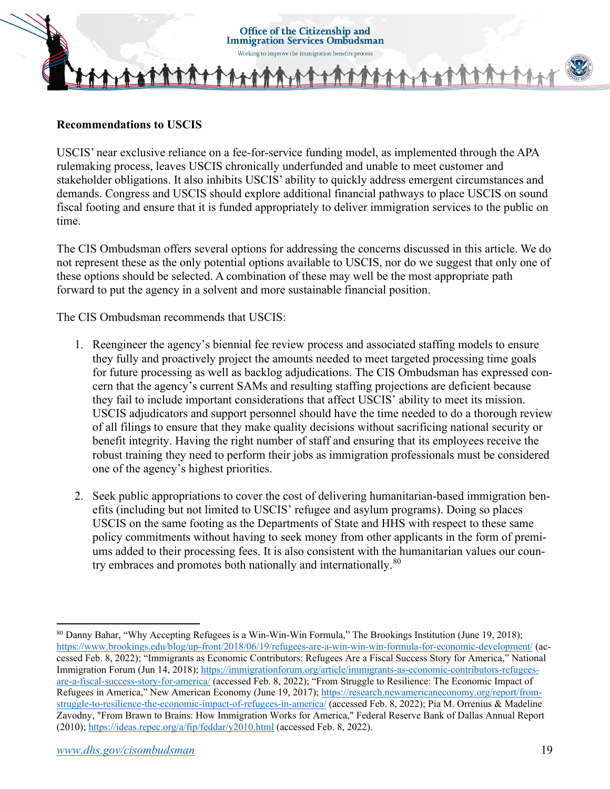

### **Recommendations to USCIS**

USCIS' near exclusive reliance on a fee-for-service funding model, as implemented through the APA rulemaking process, leaves USCIS chronically underfunded and unable to meet customer and stakeholder obligations. It also inhibits USCIS' ability to quickly address emergent circumstances and demands. Congress and USCIS should explore additional financial pathways to place USCIS on sound fiscal footing and ensure that it is funded appropriately to deliver immigration services to the public on time.

The CIS Ombudsman offers several options for addressing the concerns discussed in this article. We do not represent these as the only potential options available to USCIS, nor do we suggest that only one of these options should be selected. A combination of these may well be the most appropriate path forward to put the agency in a solvent and more sustainable financial position.

The CIS Ombudsman recommends that USCIS:

- 1. Reengineer the agency's biennial fee review process and associated staffing models to ensure they fully and proactively project the amounts needed to meet targeted processing time goals for future processing as well as backlog adjudications. The CIS Ombudsman has expressed concern that the agency's current SAMs and resulting staffing projections are deficient because they fail to include important considerations that affect USCIS' ability to meet its mission. USCIS adjudicators and support personnel should have the time needed to do a thorough review of all filings to ensure that they make quality decisions without sacrificing national security or benefit integrity. Having the right number of staff and ensuring that its employees receive the robust training they need to perform their jobs as immigration professionals must be considered one of the agency's highest priorities.
- 2. Seek public appropriations to cover the cost of delivering humanitarian-based immigration benefits (including but not limited to USCIS' refugee and asylum programs). Doing so places USCIS on the same footing as the Departments of State and HHS with respect to these same policy commitments without having to seek money from other applicants in the form of premiums added to their processing fees. It is also consistent with the humanitarian values our coun-try embraces and promotes both nationally and internationally.<sup>[80](#page-18-0)</sup>

<span id="page-18-0"></span><sup>80</sup> Danny Bahar, "Why Accepting Refugees is a Win-Win-Win Formula," The Brookings Institution (June 19, 2018); <https://www.brookings.edu/blog/up-front/2018/06/19/refugees-are-a-win-win-win-formula-for-economic-development/>(accessed Feb. 8, 2022); "Immigrants as Economic Contributors: Refugees Are a Fiscal Success Story for America," National Immigration Forum (Jun 14, 2018); [https://immigrationforum.org/article/immigrants-as-economic-contributors-refugees](https://immigrationforum.org/article/immigrants-as-economic-contributors-refugees-are-a-fiscal-success-story-for-america/)[are-a-fiscal-success-story-for-america/ \(](https://immigrationforum.org/article/immigrants-as-economic-contributors-refugees-are-a-fiscal-success-story-for-america/)accessed Feb. 8, 2022); "From Struggle to Resilience: The Economic Impact of Refugees in America," New American Economy (June 19, 2017)[; https://research.newamericaneconomy.org/report/from](https://research.newamericaneconomy.org/report/from-struggle-to-resilience-the-economic-impact-of-refugees-in-america/)[struggle-to-resilience-the-economic-impact-of-refugees-in-america/](https://research.newamericaneconomy.org/report/from-struggle-to-resilience-the-economic-impact-of-refugees-in-america/) (accessed Feb. 8, 2022); Pia M. Orrenius & Madeline Zavodny, ["From Brawn to Brains: How Immigration Works for America,](https://ideas.repec.org/a/fip/feddar/y2010.html)" Federal Reserve Bank of Dallas [Annual Report](https://usdhs-my.sharepoint.com/personal/frederick_troncone_hq_dhs_gov/Documents/Annual%20Report) (2010);<https://ideas.repec.org/a/fip/feddar/y2010.html>(accessed Feb. 8, 2022).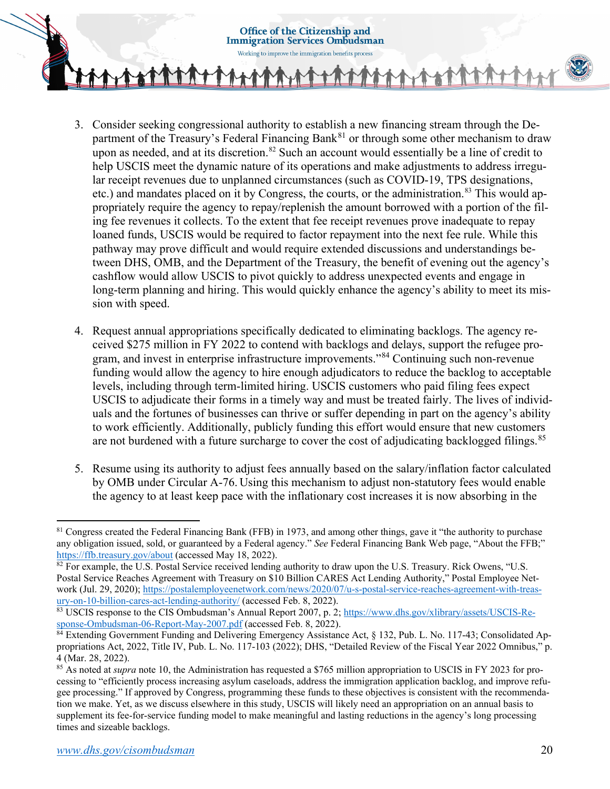**Immigration Services Ombudsman** Working to improve the immigration benefits process

**Office of the Citizenship and** 

- 
- 3. Consider seeking congressional authority to establish a new financing stream through the Department of the Treasury's Federal Financing Bank $^{81}$  $^{81}$  $^{81}$  or through some other mechanism to draw upon as needed, and at its discretion.<sup>[82](#page-19-1)</sup> Such an account would essentially be a line of credit to help USCIS meet the dynamic nature of its operations and make adjustments to address irregular receipt revenues due to unplanned circumstances (such as COVID-19, TPS designations, etc.) and mandates placed on it by Congress, the courts, or the administration.<sup>83</sup> This would appropriately require the agency to repay/replenish the amount borrowed with a portion of the filing fee revenues it collects. To the extent that fee receipt revenues prove inadequate to repay loaned funds, USCIS would be required to factor repayment into the next fee rule. While this pathway may prove difficult and would require extended discussions and understandings between DHS, OMB, and the Department of the Treasury, the benefit of evening out the agency's cashflow would allow USCIS to pivot quickly to address unexpected events and engage in long-term planning and hiring. This would quickly enhance the agency's ability to meet its mission with speed.
- 4. Request annual appropriations specifically dedicated to eliminating backlogs. The agency received \$275 million in FY 2022 to contend with backlogs and delays, support the refugee program, and invest in enterprise infrastructure improvements."[84](#page-19-3) Continuing such non-revenue funding would allow the agency to hire enough adjudicators to reduce the backlog to acceptable levels, including through term-limited hiring. USCIS customers who paid filing fees expect USCIS to adjudicate their forms in a timely way and must be treated fairly. The lives of individuals and the fortunes of businesses can thrive or suffer depending in part on the agency's ability to work efficiently. Additionally, publicly funding this effort would ensure that new customers are not burdened with a future surcharge to cover the cost of adjudicating backlogged filings.<sup>[85](#page-19-4)</sup>
- 5. Resume using its authority to adjust fees annually based on the salary/inflation factor calculated by OMB under Circular A-76. Using this mechanism to adjust non-statutory fees would enable the agency to at least keep pace with the inflationary cost increases it is now absorbing in the

<span id="page-19-0"></span><sup>81</sup> Congress created the Federal Financing Bank (FFB) in 1973, and among other things, gave it "the authority to purchase any obligation issued, sold, or guaranteed by a Federal agency." *See* Federal Financing Bank Web page, "About the FFB;"

<span id="page-19-1"></span><sup>&</sup>lt;sup>82</sup> For example, the U.S. Postal Service received lending authority to draw upon the U.S. Treasury. Rick Owens, "U.S. Postal Service Reaches Agreement with Treasury on \$10 Billion CARES Act Lending Authority," Postal Employee Net-work (Jul. 29, 2020)[; https://postalemployeenetwork.com/news/2020/07/u-s-postal-service-reaches-agreement-with-treas](https://postalemployeenetwork.com/news/2020/07/u-s-postal-service-reaches-agreement-with-treasury-on-10-billion-cares-act-lending-authority/)[ury-on-10-billion-cares-act-lending-authority/](https://postalemployeenetwork.com/news/2020/07/u-s-postal-service-reaches-agreement-with-treasury-on-10-billion-cares-act-lending-authority/) (accessed Feb. 8, 2022).

<span id="page-19-2"></span><sup>83</sup> USCIS response to the CIS Ombudsman's Annual Report 2007, p. 2; [https://www.dhs.gov/xlibrary/assets/USCIS-Re](https://www.dhs.gov/xlibrary/assets/USCIS-Response-Ombudsman-06-Report-May-2007.pdf)[sponse-Ombudsman-06-Report-May-2007.pdf \(](https://www.dhs.gov/xlibrary/assets/USCIS-Response-Ombudsman-06-Report-May-2007.pdf)accessed Feb. 8, 2022).

<span id="page-19-3"></span><sup>84</sup> Extending Government Funding and Delivering Emergency Assistance Act, § 132, Pub. L. No. 117-43; Consolidated Appropriations Act, 2022, Title IV, Pub. L. No. 117-103 (2022); DHS, "Detailed Review of the Fiscal Year 2022 Omnibus," p. 4 (Mar. 28, 2022).

<span id="page-19-4"></span><sup>&</sup>lt;sup>85</sup> As noted at *supra* note 10, the Administration has requested a \$765 million appropriation to USCIS in FY 2023 for processing to "efficiently process increasing asylum caseloads, address the immigration application backlog, and improve refugee processing." If approved by Congress, programming these funds to these objectives is consistent with the recommendation we make. Yet, as we discuss elsewhere in this study, USCIS will likely need an appropriation on an annual basis to supplement its fee-for-service funding model to make meaningful and lasting reductions in the agency's long processing times and sizeable backlogs.